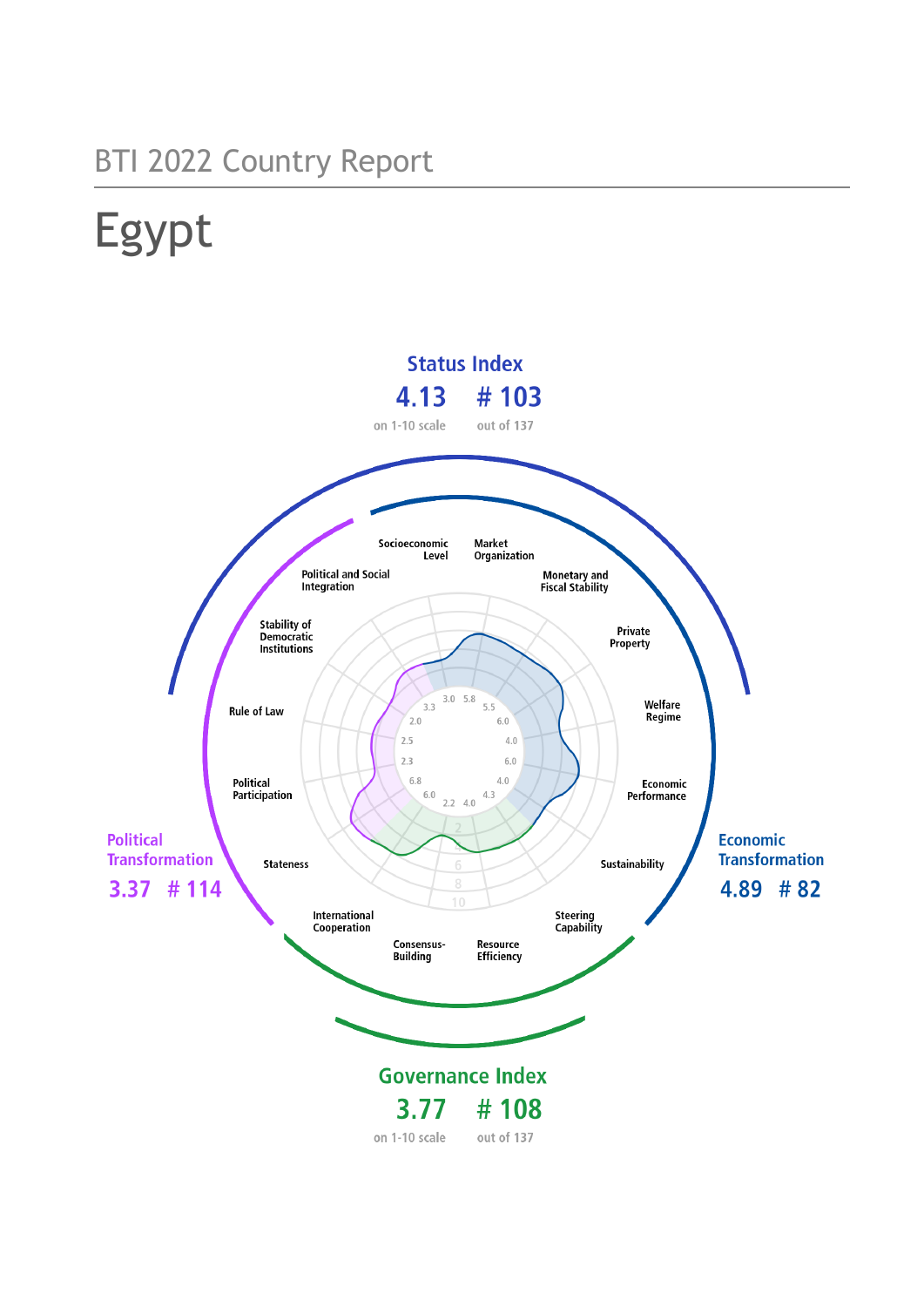# BTI 2022 Country Report

# Egypt

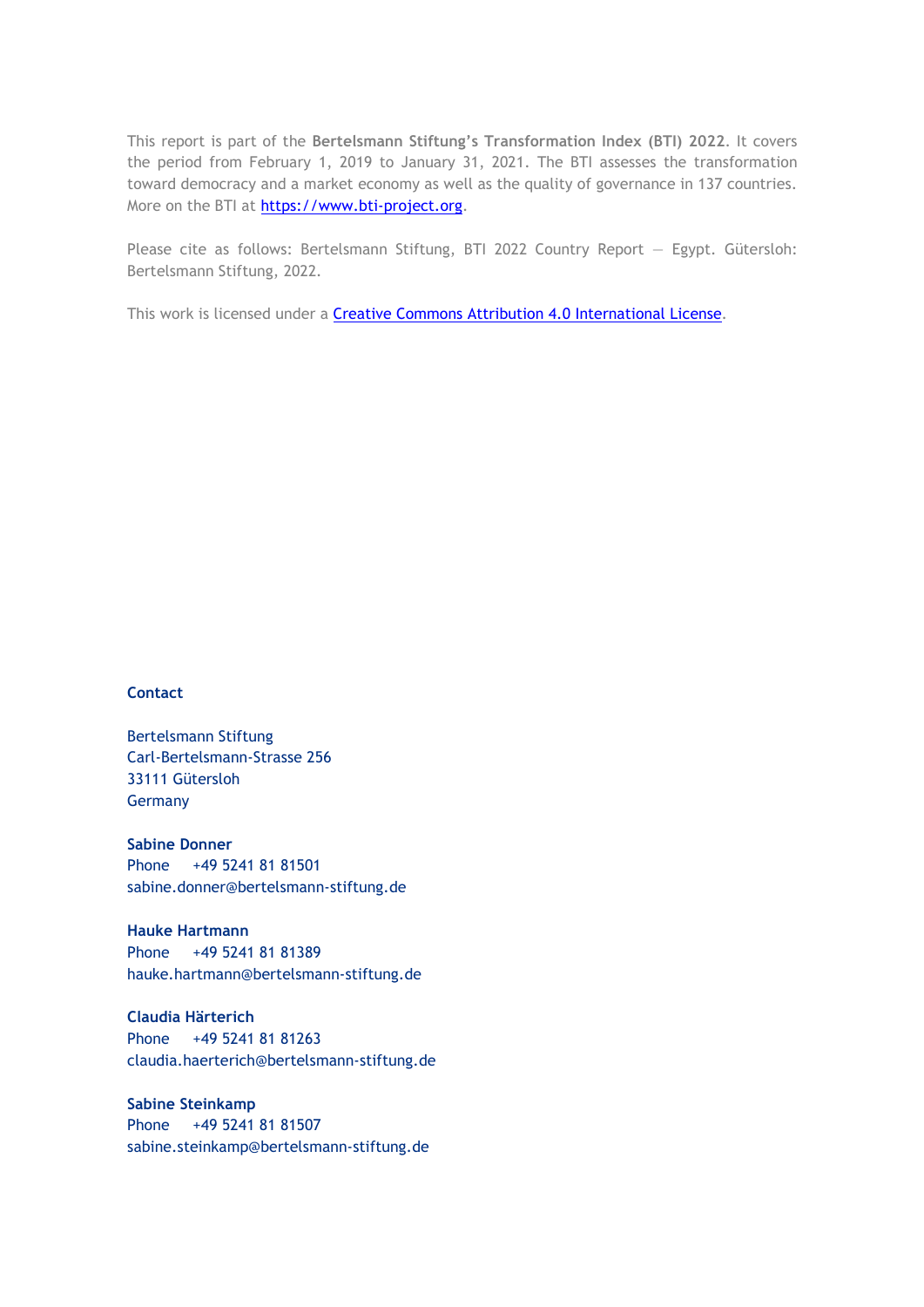This report is part of the **Bertelsmann Stiftung's Transformation Index (BTI) 2022**. It covers the period from February 1, 2019 to January 31, 2021. The BTI assesses the transformation toward democracy and a market economy as well as the quality of governance in 137 countries. More on the BTI at [https://www.bti-project.org.](https://www.bti-project.org/)

Please cite as follows: Bertelsmann Stiftung, BTI 2022 Country Report — Egypt. Gütersloh: Bertelsmann Stiftung, 2022.

This work is licensed under a **Creative Commons Attribution 4.0 International License**.

#### **Contact**

Bertelsmann Stiftung Carl-Bertelsmann-Strasse 256 33111 Gütersloh Germany

**Sabine Donner** Phone +49 5241 81 81501 sabine.donner@bertelsmann-stiftung.de

**Hauke Hartmann** Phone +49 5241 81 81389 hauke.hartmann@bertelsmann-stiftung.de

**Claudia Härterich** Phone +49 5241 81 81263 claudia.haerterich@bertelsmann-stiftung.de

**Sabine Steinkamp** Phone +49 5241 81 81507 sabine.steinkamp@bertelsmann-stiftung.de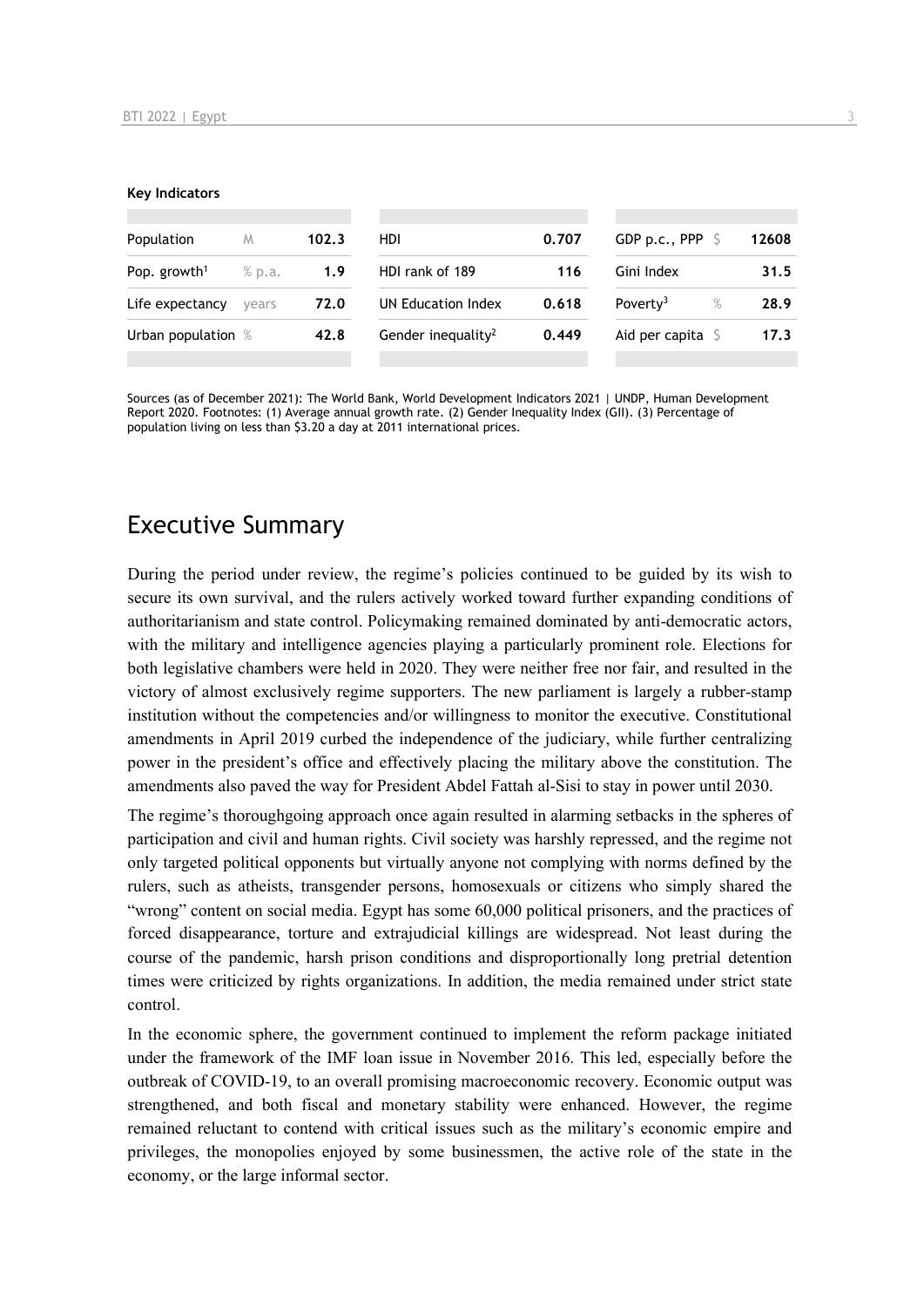#### **Key Indicators**

| Population               | M      | 102.3 | HDI                            | 0.707 | GDP p.c., PPP $\sqrt{5}$  |      | 12608 |
|--------------------------|--------|-------|--------------------------------|-------|---------------------------|------|-------|
| Pop. growth <sup>1</sup> | % p.a. | 1.9   | HDI rank of 189                | 116   | Gini Index                |      | 31.5  |
| Life expectancy          | vears  | 72.0  | UN Education Index             | 0.618 | Poverty <sup>3</sup>      | $\%$ | 28.9  |
| Urban population %       |        | 42.8  | Gender inequality <sup>2</sup> | 0.449 | Aid per capita $\sqrt{5}$ |      | 17.3  |
|                          |        |       |                                |       |                           |      |       |

Sources (as of December 2021): The World Bank, World Development Indicators 2021 | UNDP, Human Development Report 2020. Footnotes: (1) Average annual growth rate. (2) Gender Inequality Index (GII). (3) Percentage of population living on less than \$3.20 a day at 2011 international prices.

## Executive Summary

During the period under review, the regime's policies continued to be guided by its wish to secure its own survival, and the rulers actively worked toward further expanding conditions of authoritarianism and state control. Policymaking remained dominated by anti-democratic actors, with the military and intelligence agencies playing a particularly prominent role. Elections for both legislative chambers were held in 2020. They were neither free nor fair, and resulted in the victory of almost exclusively regime supporters. The new parliament is largely a rubber-stamp institution without the competencies and/or willingness to monitor the executive. Constitutional amendments in April 2019 curbed the independence of the judiciary, while further centralizing power in the president's office and effectively placing the military above the constitution. The amendments also paved the way for President Abdel Fattah al-Sisi to stay in power until 2030.

The regime's thoroughgoing approach once again resulted in alarming setbacks in the spheres of participation and civil and human rights. Civil society was harshly repressed, and the regime not only targeted political opponents but virtually anyone not complying with norms defined by the rulers, such as atheists, transgender persons, homosexuals or citizens who simply shared the "wrong" content on social media. Egypt has some 60,000 political prisoners, and the practices of forced disappearance, torture and extrajudicial killings are widespread. Not least during the course of the pandemic, harsh prison conditions and disproportionally long pretrial detention times were criticized by rights organizations. In addition, the media remained under strict state control.

In the economic sphere, the government continued to implement the reform package initiated under the framework of the IMF loan issue in November 2016. This led, especially before the outbreak of COVID-19, to an overall promising macroeconomic recovery. Economic output was strengthened, and both fiscal and monetary stability were enhanced. However, the regime remained reluctant to contend with critical issues such as the military's economic empire and privileges, the monopolies enjoyed by some businessmen, the active role of the state in the economy, or the large informal sector.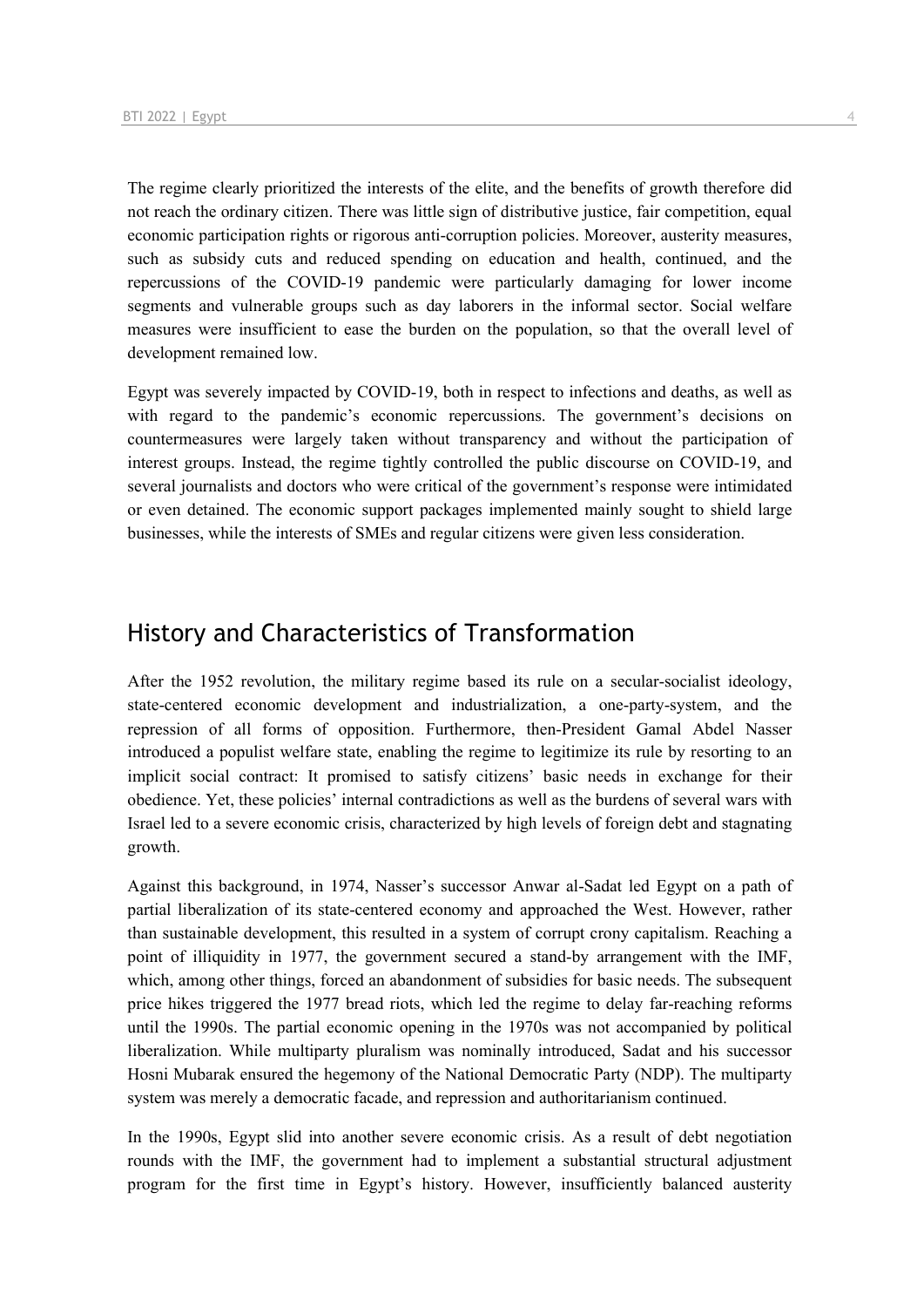The regime clearly prioritized the interests of the elite, and the benefits of growth therefore did not reach the ordinary citizen. There was little sign of distributive justice, fair competition, equal economic participation rights or rigorous anti-corruption policies. Moreover, austerity measures, such as subsidy cuts and reduced spending on education and health, continued, and the repercussions of the COVID-19 pandemic were particularly damaging for lower income segments and vulnerable groups such as day laborers in the informal sector. Social welfare measures were insufficient to ease the burden on the population, so that the overall level of development remained low.

Egypt was severely impacted by COVID-19, both in respect to infections and deaths, as well as with regard to the pandemic's economic repercussions. The government's decisions on countermeasures were largely taken without transparency and without the participation of interest groups. Instead, the regime tightly controlled the public discourse on COVID-19, and several journalists and doctors who were critical of the government's response were intimidated or even detained. The economic support packages implemented mainly sought to shield large businesses, while the interests of SMEs and regular citizens were given less consideration.

## History and Characteristics of Transformation

After the 1952 revolution, the military regime based its rule on a secular-socialist ideology, state-centered economic development and industrialization, a one-party-system, and the repression of all forms of opposition. Furthermore, then-President Gamal Abdel Nasser introduced a populist welfare state, enabling the regime to legitimize its rule by resorting to an implicit social contract: It promised to satisfy citizens' basic needs in exchange for their obedience. Yet, these policies' internal contradictions as well as the burdens of several wars with Israel led to a severe economic crisis, characterized by high levels of foreign debt and stagnating growth.

Against this background, in 1974, Nasser's successor Anwar al-Sadat led Egypt on a path of partial liberalization of its state-centered economy and approached the West. However, rather than sustainable development, this resulted in a system of corrupt crony capitalism. Reaching a point of illiquidity in 1977, the government secured a stand-by arrangement with the IMF, which, among other things, forced an abandonment of subsidies for basic needs. The subsequent price hikes triggered the 1977 bread riots, which led the regime to delay far-reaching reforms until the 1990s. The partial economic opening in the 1970s was not accompanied by political liberalization. While multiparty pluralism was nominally introduced, Sadat and his successor Hosni Mubarak ensured the hegemony of the National Democratic Party (NDP). The multiparty system was merely a democratic facade, and repression and authoritarianism continued.

In the 1990s, Egypt slid into another severe economic crisis. As a result of debt negotiation rounds with the IMF, the government had to implement a substantial structural adjustment program for the first time in Egypt's history. However, insufficiently balanced austerity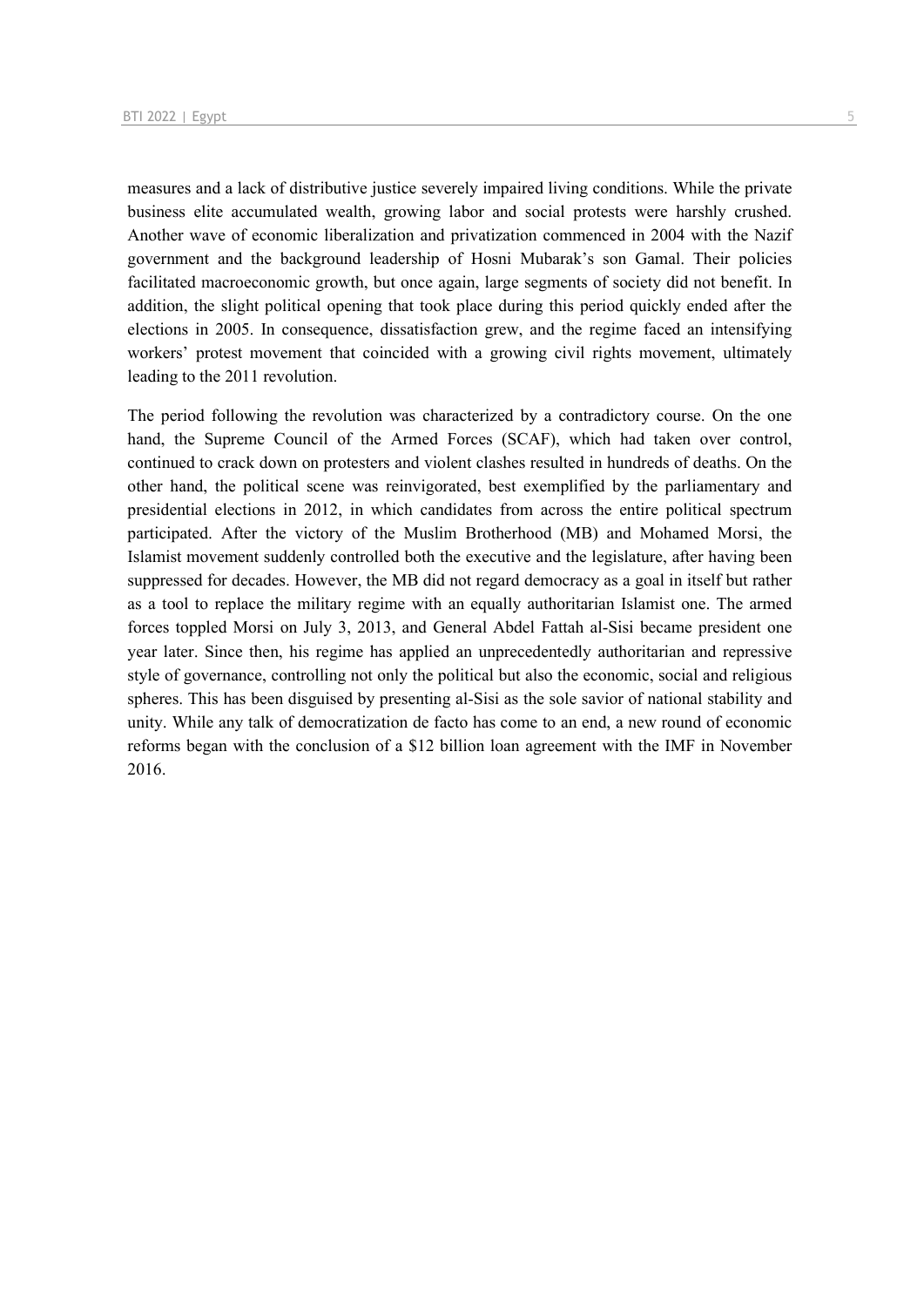measures and a lack of distributive justice severely impaired living conditions. While the private business elite accumulated wealth, growing labor and social protests were harshly crushed. Another wave of economic liberalization and privatization commenced in 2004 with the Nazif government and the background leadership of Hosni Mubarak's son Gamal. Their policies facilitated macroeconomic growth, but once again, large segments of society did not benefit. In addition, the slight political opening that took place during this period quickly ended after the elections in 2005. In consequence, dissatisfaction grew, and the regime faced an intensifying workers' protest movement that coincided with a growing civil rights movement, ultimately leading to the 2011 revolution.

The period following the revolution was characterized by a contradictory course. On the one hand, the Supreme Council of the Armed Forces (SCAF), which had taken over control, continued to crack down on protesters and violent clashes resulted in hundreds of deaths. On the other hand, the political scene was reinvigorated, best exemplified by the parliamentary and presidential elections in 2012, in which candidates from across the entire political spectrum participated. After the victory of the Muslim Brotherhood (MB) and Mohamed Morsi, the Islamist movement suddenly controlled both the executive and the legislature, after having been suppressed for decades. However, the MB did not regard democracy as a goal in itself but rather as a tool to replace the military regime with an equally authoritarian Islamist one. The armed forces toppled Morsi on July 3, 2013, and General Abdel Fattah al-Sisi became president one year later. Since then, his regime has applied an unprecedentedly authoritarian and repressive style of governance, controlling not only the political but also the economic, social and religious spheres. This has been disguised by presenting al-Sisi as the sole savior of national stability and unity. While any talk of democratization de facto has come to an end, a new round of economic reforms began with the conclusion of a \$12 billion loan agreement with the IMF in November 2016.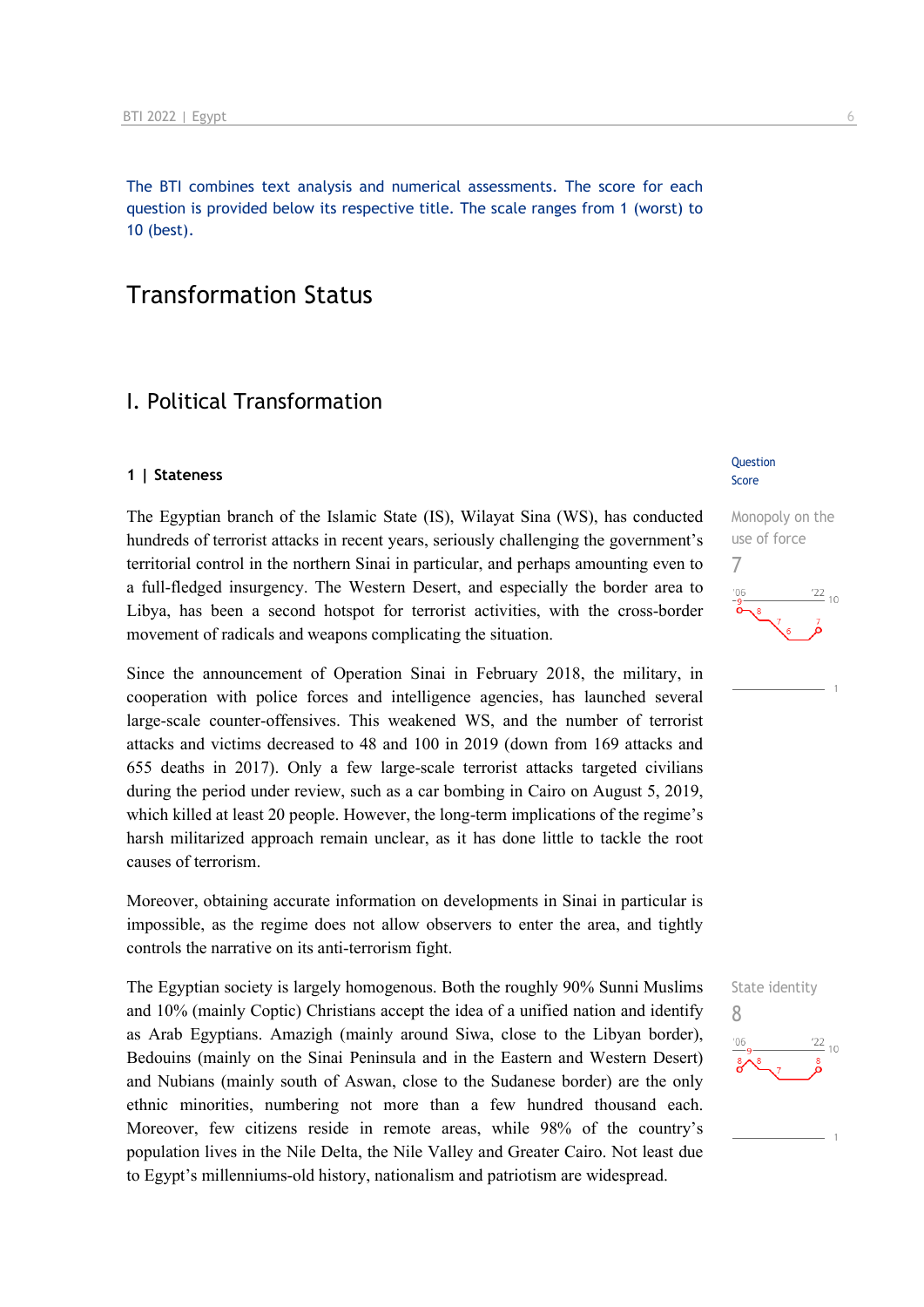The BTI combines text analysis and numerical assessments. The score for each question is provided below its respective title. The scale ranges from 1 (worst) to 10 (best).

## Transformation Status

## I. Political Transformation

#### **1 | Stateness**

The Egyptian branch of the Islamic State (IS), Wilayat Sina (WS), has conducted hundreds of terrorist attacks in recent years, seriously challenging the government's territorial control in the northern Sinai in particular, and perhaps amounting even to a full-fledged insurgency. The Western Desert, and especially the border area to Libya, has been a second hotspot for terrorist activities, with the cross-border movement of radicals and weapons complicating the situation.

Since the announcement of Operation Sinai in February 2018, the military, in cooperation with police forces and intelligence agencies, has launched several large-scale counter-offensives. This weakened WS, and the number of terrorist attacks and victims decreased to 48 and 100 in 2019 (down from 169 attacks and 655 deaths in 2017). Only a few large-scale terrorist attacks targeted civilians during the period under review, such as a car bombing in Cairo on August 5, 2019, which killed at least 20 people. However, the long-term implications of the regime's harsh militarized approach remain unclear, as it has done little to tackle the root causes of terrorism.

Moreover, obtaining accurate information on developments in Sinai in particular is impossible, as the regime does not allow observers to enter the area, and tightly controls the narrative on its anti-terrorism fight.

The Egyptian society is largely homogenous. Both the roughly 90% Sunni Muslims and 10% (mainly Coptic) Christians accept the idea of a unified nation and identify as Arab Egyptians. Amazigh (mainly around Siwa, close to the Libyan border), Bedouins (mainly on the Sinai Peninsula and in the Eastern and Western Desert) and Nubians (mainly south of Aswan, close to the Sudanese border) are the only ethnic minorities, numbering not more than a few hundred thousand each. Moreover, few citizens reside in remote areas, while 98% of the country's population lives in the Nile Delta, the Nile Valley and Greater Cairo. Not least due to Egypt's millenniums-old history, nationalism and patriotism are widespread.

#### Question Score

Monopoly on the use of force



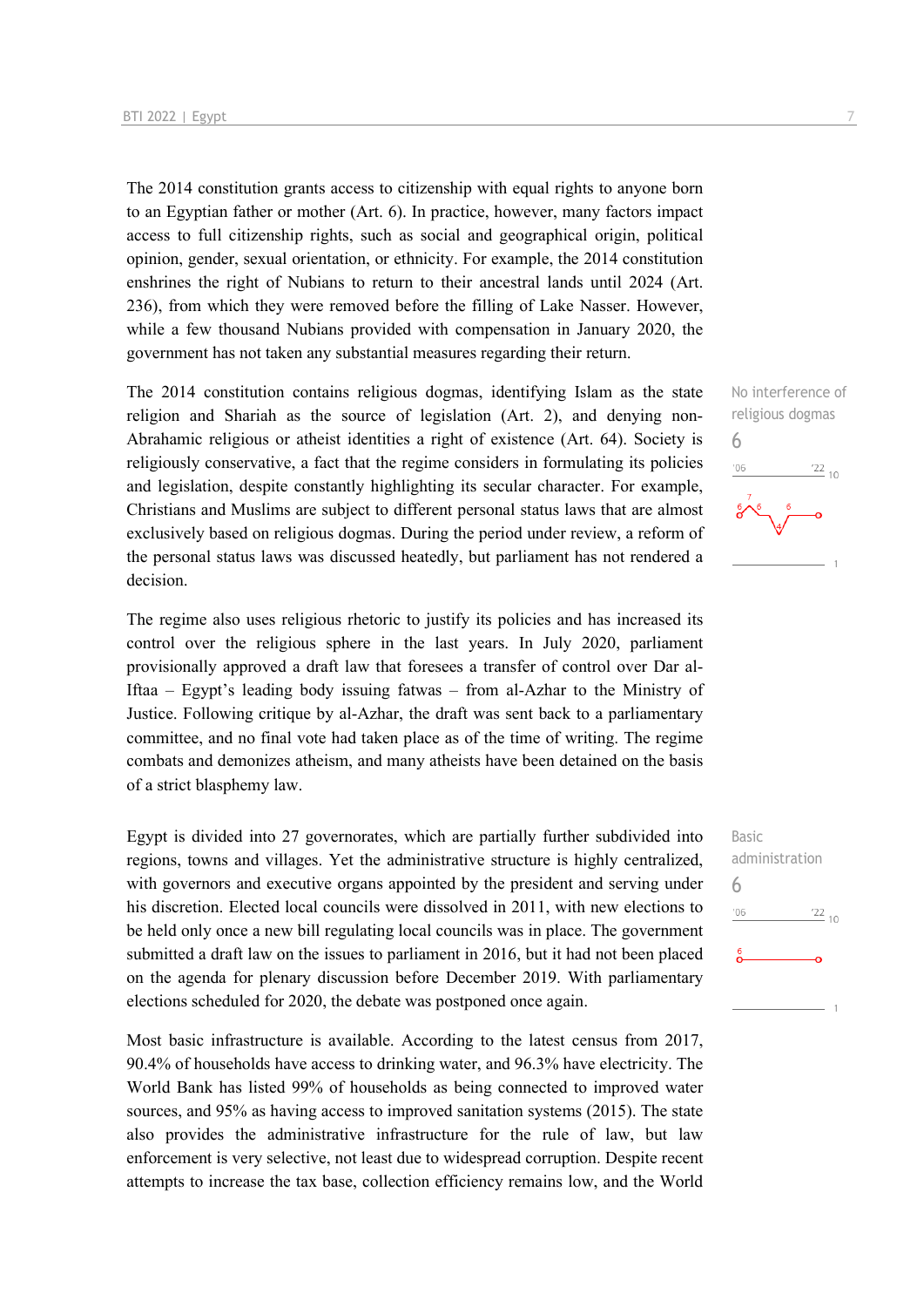The 2014 constitution grants access to citizenship with equal rights to anyone born to an Egyptian father or mother (Art. 6). In practice, however, many factors impact access to full citizenship rights, such as social and geographical origin, political opinion, gender, sexual orientation, or ethnicity. For example, the 2014 constitution enshrines the right of Nubians to return to their ancestral lands until 2024 (Art. 236), from which they were removed before the filling of Lake Nasser. However, while a few thousand Nubians provided with compensation in January 2020, the government has not taken any substantial measures regarding their return.

The 2014 constitution contains religious dogmas, identifying Islam as the state religion and Shariah as the source of legislation (Art. 2), and denying non-Abrahamic religious or atheist identities a right of existence (Art. 64). Society is religiously conservative, a fact that the regime considers in formulating its policies and legislation, despite constantly highlighting its secular character. For example, Christians and Muslims are subject to different personal status laws that are almost exclusively based on religious dogmas. During the period under review, a reform of the personal status laws was discussed heatedly, but parliament has not rendered a decision.

The regime also uses religious rhetoric to justify its policies and has increased its control over the religious sphere in the last years. In July 2020, parliament provisionally approved a draft law that foresees a transfer of control over Dar al-Iftaa – Egypt's leading body issuing fatwas – from al-Azhar to the Ministry of Justice. Following critique by al-Azhar, the draft was sent back to a parliamentary committee, and no final vote had taken place as of the time of writing. The regime combats and demonizes atheism, and many atheists have been detained on the basis of a strict blasphemy law.

Egypt is divided into 27 governorates, which are partially further subdivided into regions, towns and villages. Yet the administrative structure is highly centralized, with governors and executive organs appointed by the president and serving under his discretion. Elected local councils were dissolved in 2011, with new elections to be held only once a new bill regulating local councils was in place. The government submitted a draft law on the issues to parliament in 2016, but it had not been placed on the agenda for plenary discussion before December 2019. With parliamentary elections scheduled for 2020, the debate was postponed once again.

Most basic infrastructure is available. According to the latest census from 2017, 90.4% of households have access to drinking water, and 96.3% have electricity. The World Bank has listed 99% of households as being connected to improved water sources, and 95% as having access to improved sanitation systems (2015). The state also provides the administrative infrastructure for the rule of law, but law enforcement is very selective, not least due to widespread corruption. Despite recent attempts to increase the tax base, collection efficiency remains low, and the World No interference of religious dogmas 6  $^{\prime}06$  $\frac{22}{10}$ 

Basic administration 6 $\frac{22}{10}$  $-06$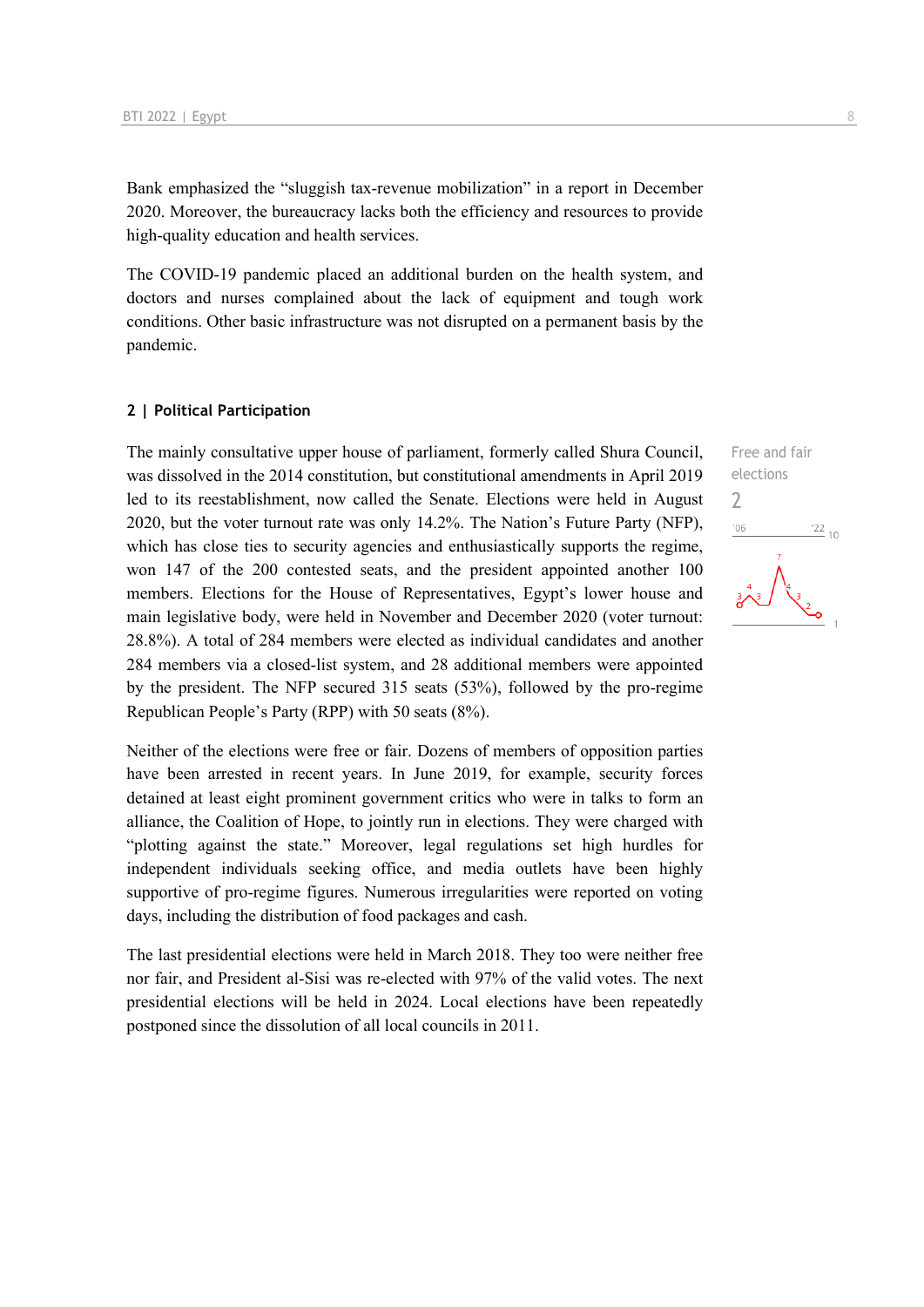Bank emphasized the "sluggish tax-revenue mobilization" in a report in December 2020. Moreover, the bureaucracy lacks both the efficiency and resources to provide high-quality education and health services.

The COVID-19 pandemic placed an additional burden on the health system, and doctors and nurses complained about the lack of equipment and tough work conditions. Other basic infrastructure was not disrupted on a permanent basis by the pandemic.

#### **2 | Political Participation**

The mainly consultative upper house of parliament, formerly called Shura Council, was dissolved in the 2014 constitution, but constitutional amendments in April 2019 led to its reestablishment, now called the Senate. Elections were held in August 2020, but the voter turnout rate was only 14.2%. The Nation's Future Party (NFP), which has close ties to security agencies and enthusiastically supports the regime, won 147 of the 200 contested seats, and the president appointed another 100 members. Elections for the House of Representatives, Egypt's lower house and main legislative body, were held in November and December 2020 (voter turnout: 28.8%). A total of 284 members were elected as individual candidates and another 284 members via a closed-list system, and 28 additional members were appointed by the president. The NFP secured 315 seats (53%), followed by the pro-regime Republican People's Party (RPP) with 50 seats (8%).

Neither of the elections were free or fair. Dozens of members of opposition parties have been arrested in recent years. In June 2019, for example, security forces detained at least eight prominent government critics who were in talks to form an alliance, the Coalition of Hope, to jointly run in elections. They were charged with "plotting against the state." Moreover, legal regulations set high hurdles for independent individuals seeking office, and media outlets have been highly supportive of pro-regime figures. Numerous irregularities were reported on voting days, including the distribution of food packages and cash.

The last presidential elections were held in March 2018. They too were neither free nor fair, and President al-Sisi was re-elected with 97% of the valid votes. The next presidential elections will be held in 2024. Local elections have been repeatedly postponed since the dissolution of all local councils in 2011.

Free and fair elections 2 $\frac{22}{10}$  $'06$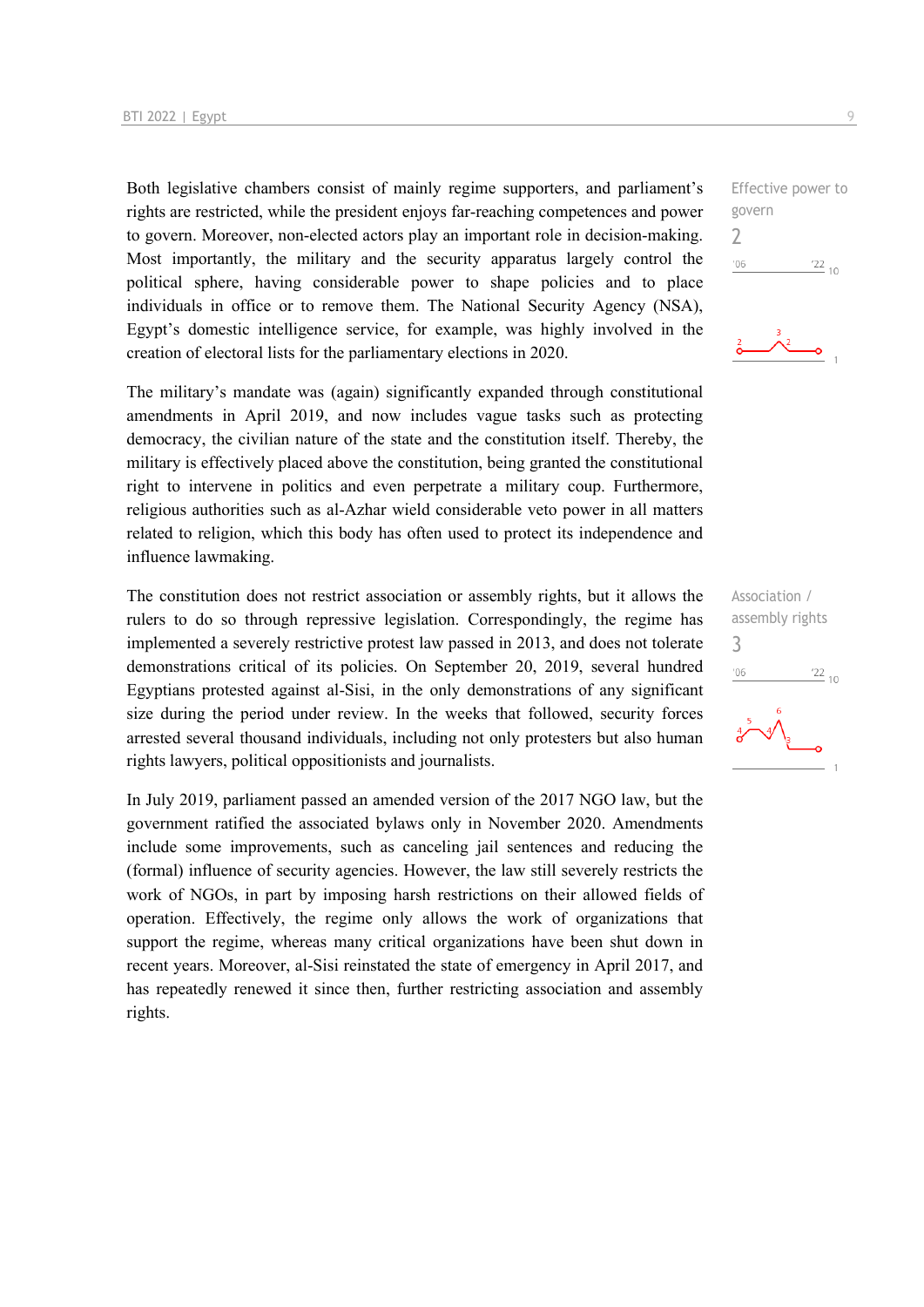Both legislative chambers consist of mainly regime supporters, and parliament's rights are restricted, while the president enjoys far-reaching competences and power to govern. Moreover, non-elected actors play an important role in decision-making. Most importantly, the military and the security apparatus largely control the political sphere, having considerable power to shape policies and to place individuals in office or to remove them. The National Security Agency (NSA), Egypt's domestic intelligence service, for example, was highly involved in the creation of electoral lists for the parliamentary elections in 2020.

The military's mandate was (again) significantly expanded through constitutional amendments in April 2019, and now includes vague tasks such as protecting democracy, the civilian nature of the state and the constitution itself. Thereby, the military is effectively placed above the constitution, being granted the constitutional right to intervene in politics and even perpetrate a military coup. Furthermore, religious authorities such as al-Azhar wield considerable veto power in all matters related to religion, which this body has often used to protect its independence and influence lawmaking.

The constitution does not restrict association or assembly rights, but it allows the rulers to do so through repressive legislation. Correspondingly, the regime has implemented a severely restrictive protest law passed in 2013, and does not tolerate demonstrations critical of its policies. On September 20, 2019, several hundred Egyptians protested against al-Sisi, in the only demonstrations of any significant size during the period under review. In the weeks that followed, security forces arrested several thousand individuals, including not only protesters but also human rights lawyers, political oppositionists and journalists.

In July 2019, parliament passed an amended version of the 2017 NGO law, but the government ratified the associated bylaws only in November 2020. Amendments include some improvements, such as canceling jail sentences and reducing the (formal) influence of security agencies. However, the law still severely restricts the work of NGOs, in part by imposing harsh restrictions on their allowed fields of operation. Effectively, the regime only allows the work of organizations that support the regime, whereas many critical organizations have been shut down in recent years. Moreover, al-Sisi reinstated the state of emergency in April 2017, and has repeatedly renewed it since then, further restricting association and assembly rights.

Effective power to govern 2  $^{\prime}06$  $\frac{22}{10}$ 



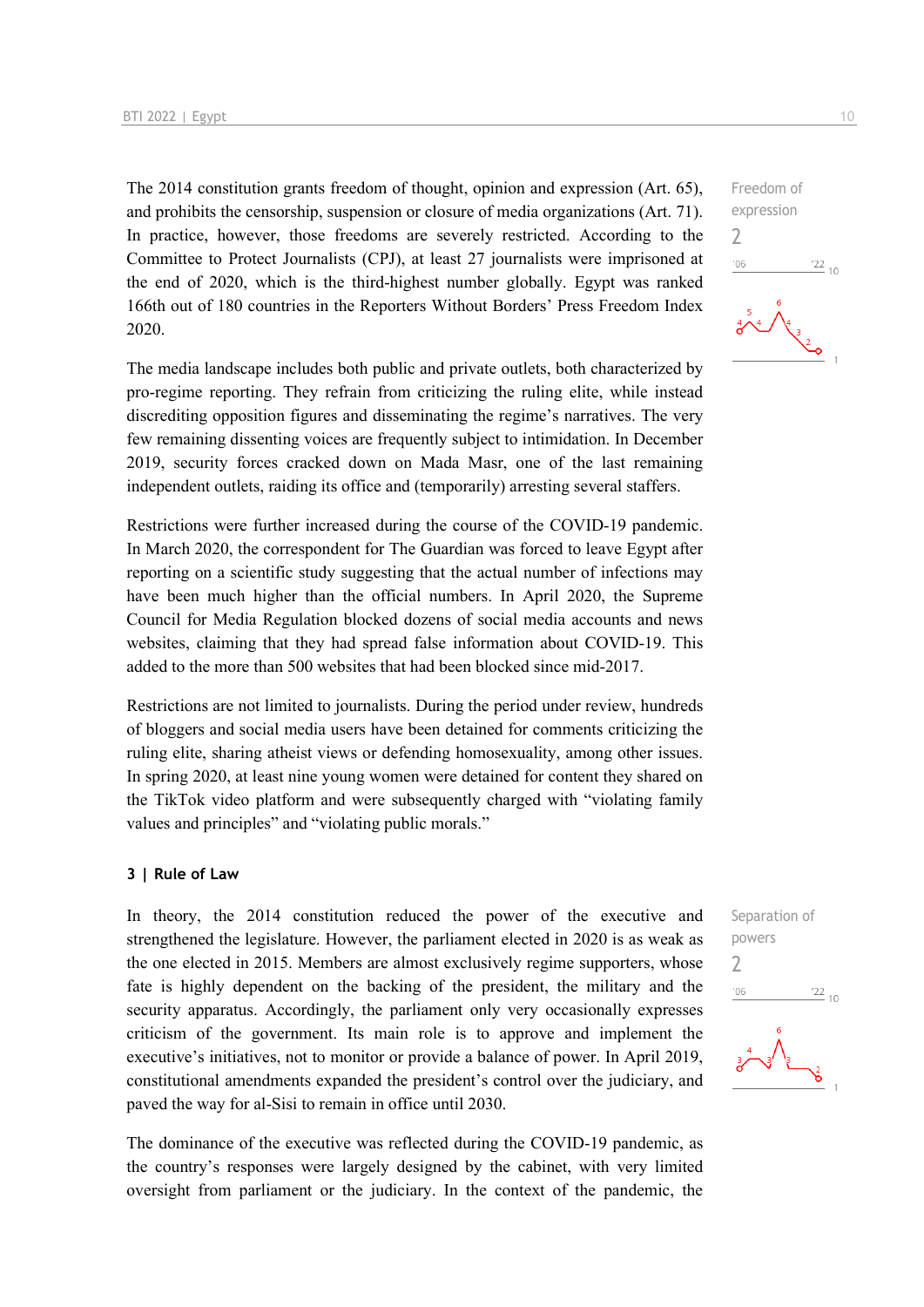The 2014 constitution grants freedom of thought, opinion and expression (Art. 65), and prohibits the censorship, suspension or closure of media organizations (Art. 71). In practice, however, those freedoms are severely restricted. According to the Committee to Protect Journalists (CPJ), at least 27 journalists were imprisoned at the end of 2020, which is the third-highest number globally. Egypt was ranked 166th out of 180 countries in the Reporters Without Borders' Press Freedom Index 2020.

The media landscape includes both public and private outlets, both characterized by pro-regime reporting. They refrain from criticizing the ruling elite, while instead discrediting opposition figures and disseminating the regime's narratives. The very few remaining dissenting voices are frequently subject to intimidation. In December 2019, security forces cracked down on Mada Masr, one of the last remaining independent outlets, raiding its office and (temporarily) arresting several staffers.

Restrictions were further increased during the course of the COVID-19 pandemic. In March 2020, the correspondent for The Guardian was forced to leave Egypt after reporting on a scientific study suggesting that the actual number of infections may have been much higher than the official numbers. In April 2020, the Supreme Council for Media Regulation blocked dozens of social media accounts and news websites, claiming that they had spread false information about COVID-19. This added to the more than 500 websites that had been blocked since mid-2017.

Restrictions are not limited to journalists. During the period under review, hundreds of bloggers and social media users have been detained for comments criticizing the ruling elite, sharing atheist views or defending homosexuality, among other issues. In spring 2020, at least nine young women were detained for content they shared on the TikTok video platform and were subsequently charged with "violating family values and principles" and "violating public morals."

#### **3 | Rule of Law**

In theory, the 2014 constitution reduced the power of the executive and strengthened the legislature. However, the parliament elected in 2020 is as weak as the one elected in 2015. Members are almost exclusively regime supporters, whose fate is highly dependent on the backing of the president, the military and the security apparatus. Accordingly, the parliament only very occasionally expresses criticism of the government. Its main role is to approve and implement the executive's initiatives, not to monitor or provide a balance of power. In April 2019, constitutional amendments expanded the president's control over the judiciary, and paved the way for al-Sisi to remain in office until 2030.

The dominance of the executive was reflected during the COVID-19 pandemic, as the country's responses were largely designed by the cabinet, with very limited oversight from parliament or the judiciary. In the context of the pandemic, the

Freedom of expression  
\n
$$
\begin{array}{r}\n2 \\
\hline\n\frac{106}{200} \quad 2210 \\
\hline\n\end{array}
$$

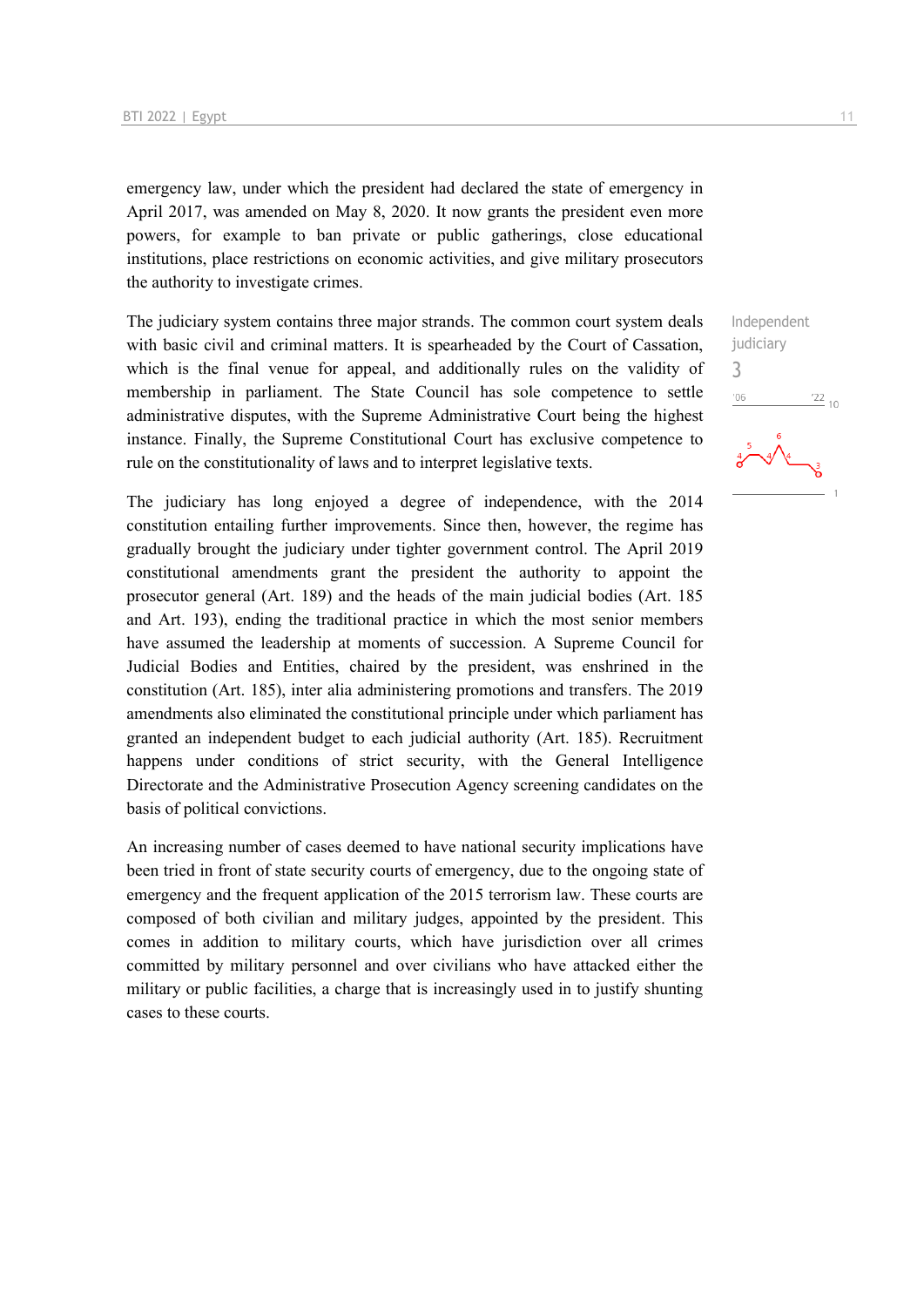emergency law, under which the president had declared the state of emergency in April 2017, was amended on May 8, 2020. It now grants the president even more powers, for example to ban private or public gatherings, close educational institutions, place restrictions on economic activities, and give military prosecutors the authority to investigate crimes.

The judiciary system contains three major strands. The common court system deals with basic civil and criminal matters. It is spearheaded by the Court of Cassation, which is the final venue for appeal, and additionally rules on the validity of membership in parliament. The State Council has sole competence to settle administrative disputes, with the Supreme Administrative Court being the highest instance. Finally, the Supreme Constitutional Court has exclusive competence to rule on the constitutionality of laws and to interpret legislative texts.

The judiciary has long enjoyed a degree of independence, with the 2014 constitution entailing further improvements. Since then, however, the regime has gradually brought the judiciary under tighter government control. The April 2019 constitutional amendments grant the president the authority to appoint the prosecutor general (Art. 189) and the heads of the main judicial bodies (Art. 185 and Art. 193), ending the traditional practice in which the most senior members have assumed the leadership at moments of succession. A Supreme Council for Judicial Bodies and Entities, chaired by the president, was enshrined in the constitution (Art. 185), inter alia administering promotions and transfers. The 2019 amendments also eliminated the constitutional principle under which parliament has granted an independent budget to each judicial authority (Art. 185). Recruitment happens under conditions of strict security, with the General Intelligence Directorate and the Administrative Prosecution Agency screening candidates on the basis of political convictions.

An increasing number of cases deemed to have national security implications have been tried in front of state security courts of emergency, due to the ongoing state of emergency and the frequent application of the 2015 terrorism law. These courts are composed of both civilian and military judges, appointed by the president. This comes in addition to military courts, which have jurisdiction over all crimes committed by military personnel and over civilians who have attacked either the military or public facilities, a charge that is increasingly used in to justify shunting cases to these courts.

Independent judiciary 3 $\frac{22}{10}$ '06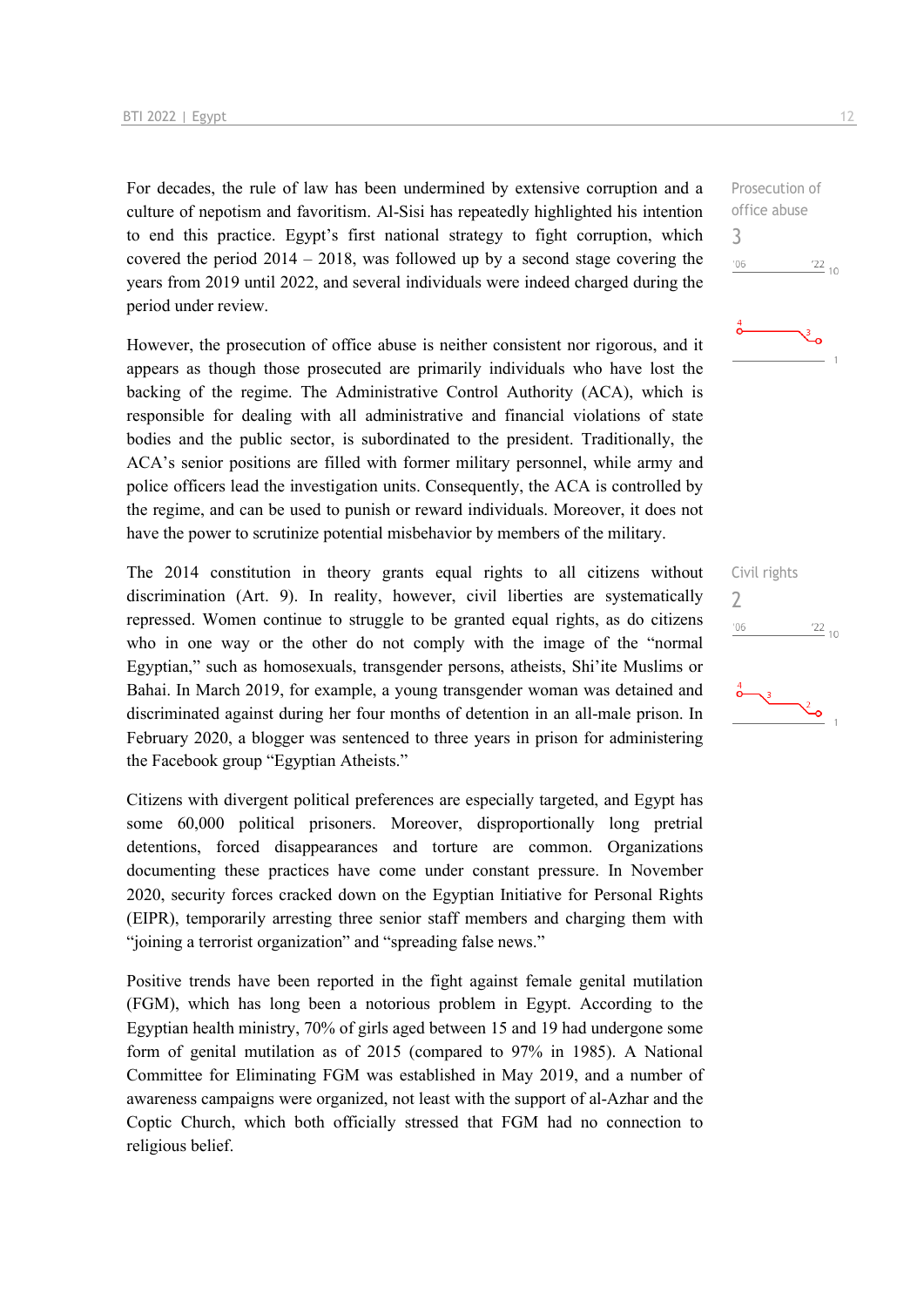For decades, the rule of law has been undermined by extensive corruption and a culture of nepotism and favoritism. Al-Sisi has repeatedly highlighted his intention to end this practice. Egypt's first national strategy to fight corruption, which covered the period 2014 – 2018, was followed up by a second stage covering the years from 2019 until 2022, and several individuals were indeed charged during the period under review.

However, the prosecution of office abuse is neither consistent nor rigorous, and it appears as though those prosecuted are primarily individuals who have lost the backing of the regime. The Administrative Control Authority (ACA), which is responsible for dealing with all administrative and financial violations of state bodies and the public sector, is subordinated to the president. Traditionally, the ACA's senior positions are filled with former military personnel, while army and police officers lead the investigation units. Consequently, the ACA is controlled by the regime, and can be used to punish or reward individuals. Moreover, it does not have the power to scrutinize potential misbehavior by members of the military.

The 2014 constitution in theory grants equal rights to all citizens without discrimination (Art. 9). In reality, however, civil liberties are systematically repressed. Women continue to struggle to be granted equal rights, as do citizens who in one way or the other do not comply with the image of the "normal Egyptian," such as homosexuals, transgender persons, atheists, Shi'ite Muslims or Bahai. In March 2019, for example, a young transgender woman was detained and discriminated against during her four months of detention in an all-male prison. In February 2020, a blogger was sentenced to three years in prison for administering the Facebook group "Egyptian Atheists."

Citizens with divergent political preferences are especially targeted, and Egypt has some 60,000 political prisoners. Moreover, disproportionally long pretrial detentions, forced disappearances and torture are common. Organizations documenting these practices have come under constant pressure. In November 2020, security forces cracked down on the Egyptian Initiative for Personal Rights (EIPR), temporarily arresting three senior staff members and charging them with "joining a terrorist organization" and "spreading false news."

Positive trends have been reported in the fight against female genital mutilation (FGM), which has long been a notorious problem in Egypt. According to the Egyptian health ministry, 70% of girls aged between 15 and 19 had undergone some form of genital mutilation as of 2015 (compared to 97% in 1985). A National Committee for Eliminating FGM was established in May 2019, and a number of awareness campaigns were organized, not least with the support of al-Azhar and the Coptic Church, which both officially stressed that FGM had no connection to religious belief.

Prosecution of office abuse 3  $-06$  $\frac{22}{10}$ 



Civil rights 2 $-06$  $\frac{22}{10}$ 

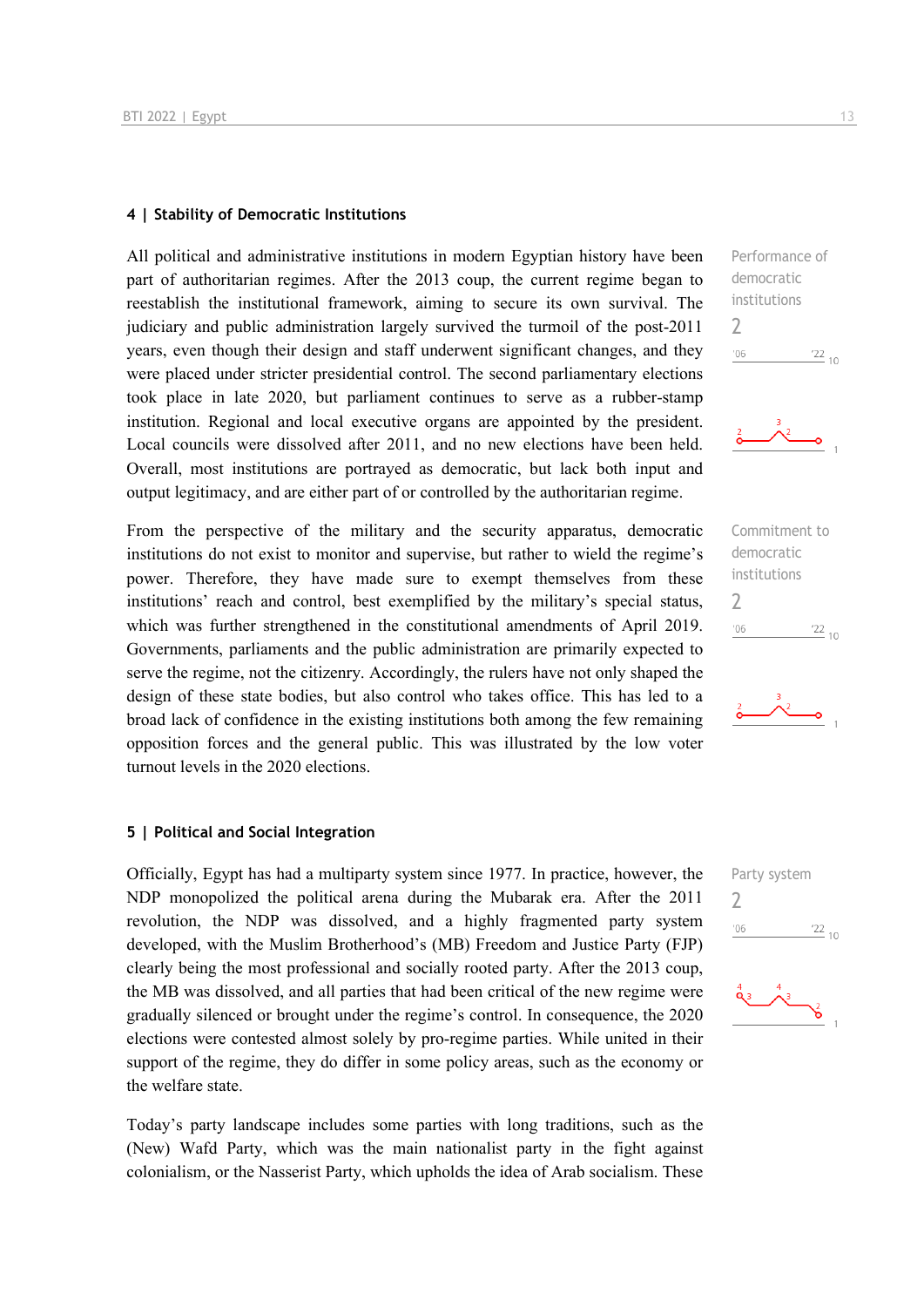#### **4 | Stability of Democratic Institutions**

All political and administrative institutions in modern Egyptian history have been part of authoritarian regimes. After the 2013 coup, the current regime began to reestablish the institutional framework, aiming to secure its own survival. The judiciary and public administration largely survived the turmoil of the post-2011 years, even though their design and staff underwent significant changes, and they were placed under stricter presidential control. The second parliamentary elections took place in late 2020, but parliament continues to serve as a rubber-stamp institution. Regional and local executive organs are appointed by the president. Local councils were dissolved after 2011, and no new elections have been held. Overall, most institutions are portrayed as democratic, but lack both input and output legitimacy, and are either part of or controlled by the authoritarian regime.

From the perspective of the military and the security apparatus, democratic institutions do not exist to monitor and supervise, but rather to wield the regime's power. Therefore, they have made sure to exempt themselves from these institutions' reach and control, best exemplified by the military's special status, which was further strengthened in the constitutional amendments of April 2019. Governments, parliaments and the public administration are primarily expected to serve the regime, not the citizenry. Accordingly, the rulers have not only shaped the design of these state bodies, but also control who takes office. This has led to a broad lack of confidence in the existing institutions both among the few remaining opposition forces and the general public. This was illustrated by the low voter turnout levels in the 2020 elections.

#### **5 | Political and Social Integration**

Officially, Egypt has had a multiparty system since 1977. In practice, however, the NDP monopolized the political arena during the Mubarak era. After the 2011 revolution, the NDP was dissolved, and a highly fragmented party system developed, with the Muslim Brotherhood's (MB) Freedom and Justice Party (FJP) clearly being the most professional and socially rooted party. After the 2013 coup, the MB was dissolved, and all parties that had been critical of the new regime were gradually silenced or brought under the regime's control. In consequence, the 2020 elections were contested almost solely by pro-regime parties. While united in their support of the regime, they do differ in some policy areas, such as the economy or the welfare state.

Today's party landscape includes some parties with long traditions, such as the (New) Wafd Party, which was the main nationalist party in the fight against colonialism, or the Nasserist Party, which upholds the idea of Arab socialism. These

Performance of democratic institutions 2  $\frac{22}{10}$  $106$ 





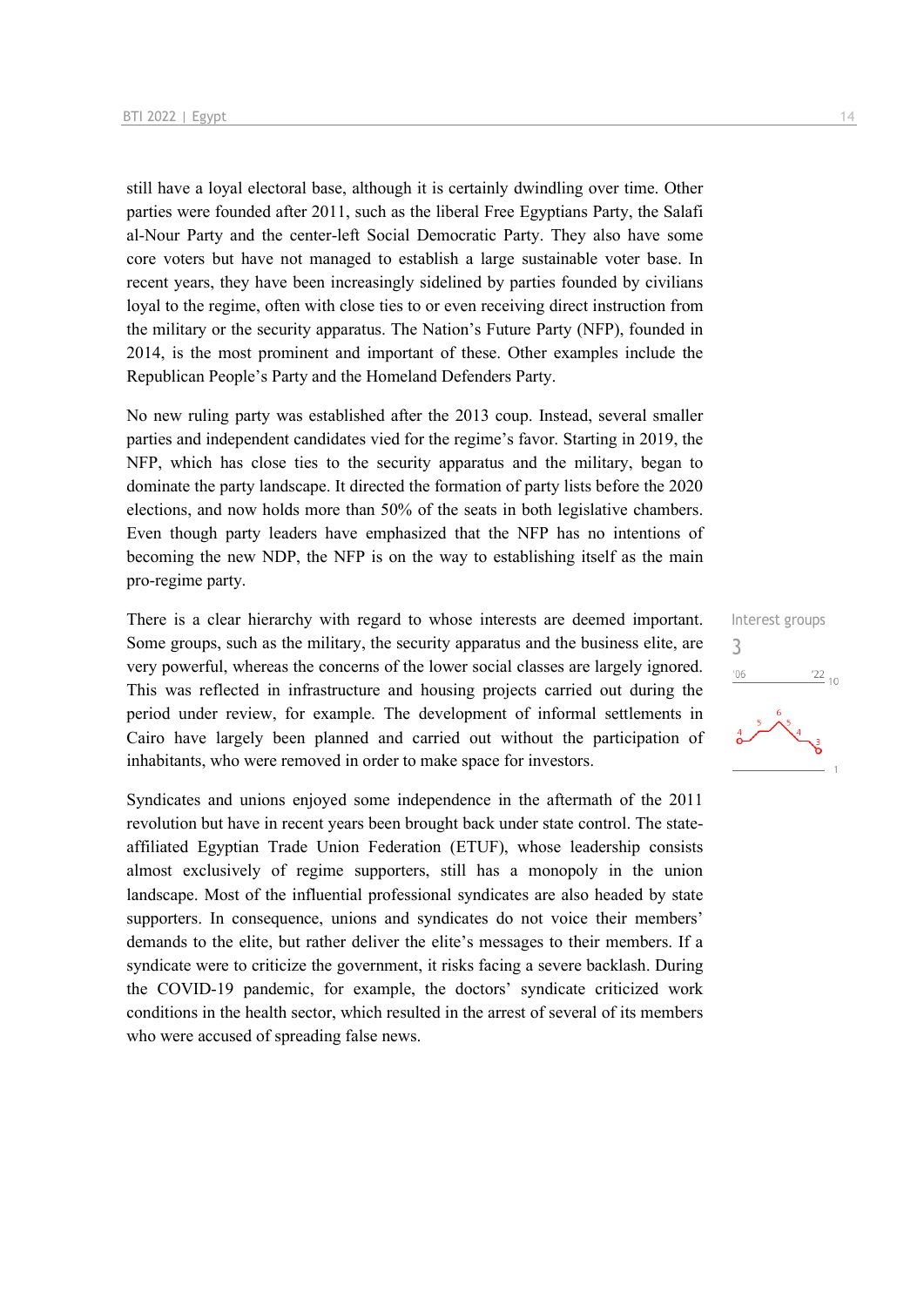still have a loyal electoral base, although it is certainly dwindling over time. Other parties were founded after 2011, such as the liberal Free Egyptians Party, the Salafi al-Nour Party and the center-left Social Democratic Party. They also have some core voters but have not managed to establish a large sustainable voter base. In recent years, they have been increasingly sidelined by parties founded by civilians loyal to the regime, often with close ties to or even receiving direct instruction from the military or the security apparatus. The Nation's Future Party (NFP), founded in 2014, is the most prominent and important of these. Other examples include the Republican People's Party and the Homeland Defenders Party.

No new ruling party was established after the 2013 coup. Instead, several smaller parties and independent candidates vied for the regime's favor. Starting in 2019, the NFP, which has close ties to the security apparatus and the military, began to dominate the party landscape. It directed the formation of party lists before the 2020 elections, and now holds more than 50% of the seats in both legislative chambers. Even though party leaders have emphasized that the NFP has no intentions of becoming the new NDP, the NFP is on the way to establishing itself as the main pro-regime party.

There is a clear hierarchy with regard to whose interests are deemed important. Some groups, such as the military, the security apparatus and the business elite, are very powerful, whereas the concerns of the lower social classes are largely ignored. This was reflected in infrastructure and housing projects carried out during the period under review, for example. The development of informal settlements in Cairo have largely been planned and carried out without the participation of inhabitants, who were removed in order to make space for investors.

Syndicates and unions enjoyed some independence in the aftermath of the 2011 revolution but have in recent years been brought back under state control. The stateaffiliated Egyptian Trade Union Federation (ETUF), whose leadership consists almost exclusively of regime supporters, still has a monopoly in the union landscape. Most of the influential professional syndicates are also headed by state supporters. In consequence, unions and syndicates do not voice their members' demands to the elite, but rather deliver the elite's messages to their members. If a syndicate were to criticize the government, it risks facing a severe backlash. During the COVID-19 pandemic, for example, the doctors' syndicate criticized work conditions in the health sector, which resulted in the arrest of several of its members who were accused of spreading false news.

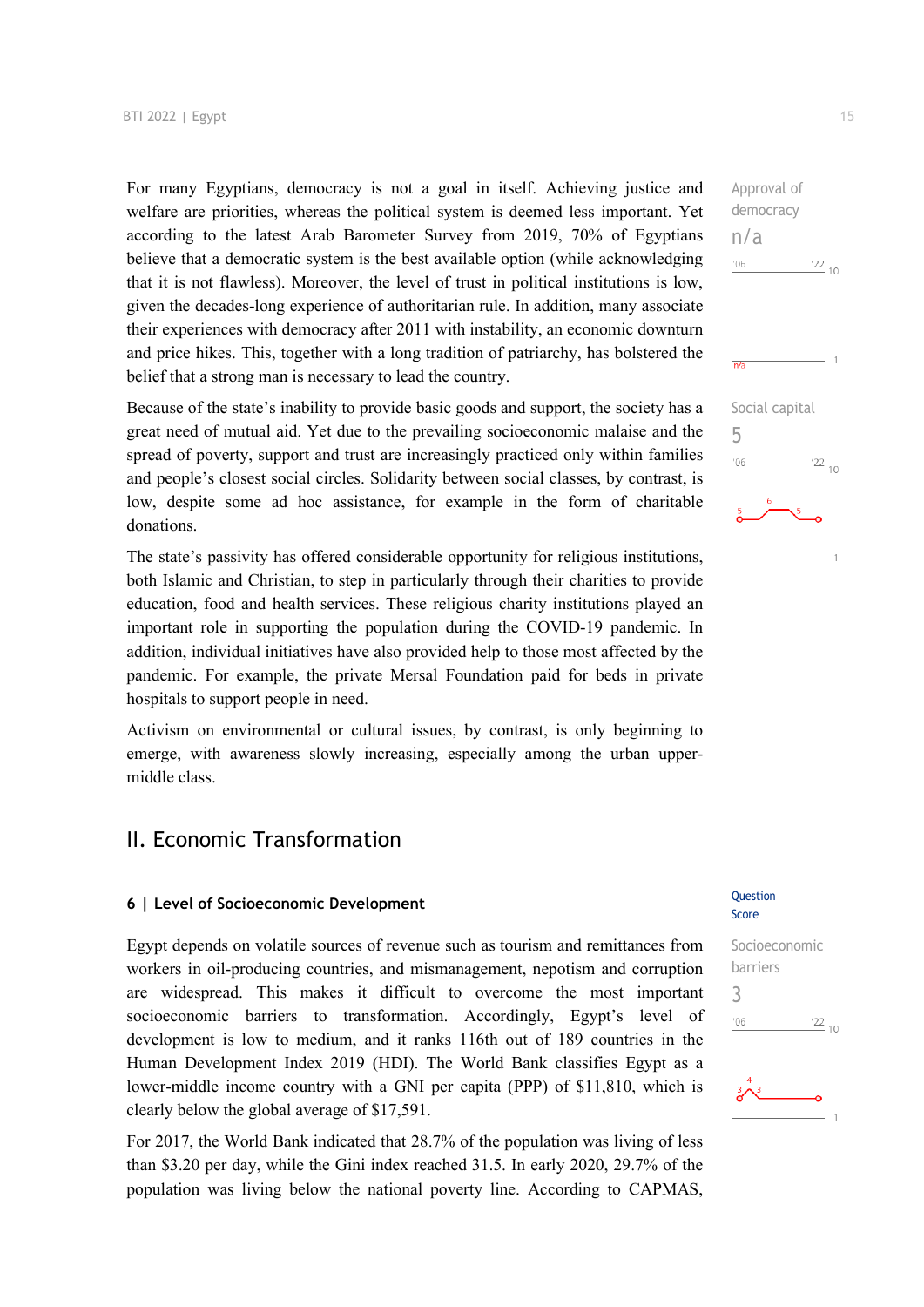For many Egyptians, democracy is not a goal in itself. Achieving justice and welfare are priorities, whereas the political system is deemed less important. Yet according to the latest Arab Barometer Survey from 2019, 70% of Egyptians believe that a democratic system is the best available option (while acknowledging that it is not flawless). Moreover, the level of trust in political institutions is low, given the decades-long experience of authoritarian rule. In addition, many associate their experiences with democracy after 2011 with instability, an economic downturn and price hikes. This, together with a long tradition of patriarchy, has bolstered the belief that a strong man is necessary to lead the country.

Because of the state's inability to provide basic goods and support, the society has a great need of mutual aid. Yet due to the prevailing socioeconomic malaise and the spread of poverty, support and trust are increasingly practiced only within families and people's closest social circles. Solidarity between social classes, by contrast, is low, despite some ad hoc assistance, for example in the form of charitable donations.

The state's passivity has offered considerable opportunity for religious institutions, both Islamic and Christian, to step in particularly through their charities to provide education, food and health services. These religious charity institutions played an important role in supporting the population during the COVID-19 pandemic. In addition, individual initiatives have also provided help to those most affected by the pandemic. For example, the private Mersal Foundation paid for beds in private hospitals to support people in need.

Activism on environmental or cultural issues, by contrast, is only beginning to emerge, with awareness slowly increasing, especially among the urban uppermiddle class.

### II. Economic Transformation

## **6** | Level of Socioeconomic Development

Egypt depends on volatile sources of revenue such as tourism and remittances from workers in oil-producing countries, and mismanagement, nepotism and corruption are widespread. This makes it difficult to overcome the most important socioeconomic barriers to transformation. Accordingly, Egypt's level of development is low to medium, and it ranks 116th out of 189 countries in the Human Development Index 2019 (HDI). The World Bank classifies Egypt as a lower-middle income country with a GNI per capita (PPP) of \$11,810, which is clearly below the global average of \$17,591.

For 2017, the World Bank indicated that 28.7% of the population was living of less than \$3.20 per day, while the Gini index reached 31.5. In early 2020, 29.7% of the population was living below the national poverty line. According to CAPMAS,

# $-1$ Social capital 5  $\frac{22}{10}$  $^{\prime}06$

Approval of democracy

n/a

 $-06$ 

## Score

Socioeconomic barriers 3 $\frac{22}{10}$  $n<sub>0</sub>$ 

 $\frac{22}{10}$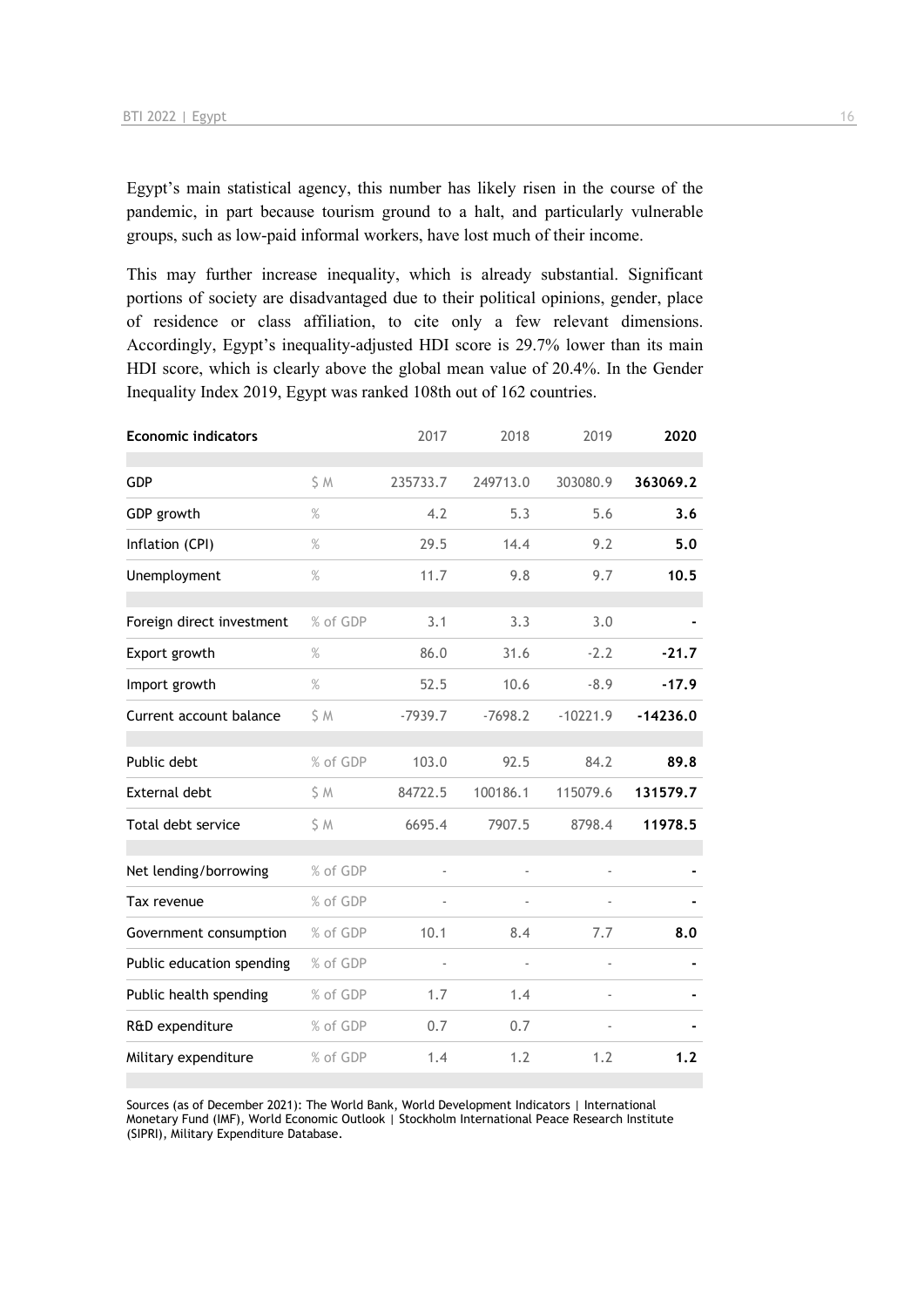Egypt's main statistical agency, this number has likely risen in the course of the pandemic, in part because tourism ground to a halt, and particularly vulnerable groups, such as low-paid informal workers, have lost much of their income.

This may further increase inequality, which is already substantial. Significant portions of society are disadvantaged due to their political opinions, gender, place of residence or class affiliation, to cite only a few relevant dimensions. Accordingly, Egypt's inequality-adjusted HDI score is 29.7% lower than its main HDI score, which is clearly above the global mean value of 20.4%. In the Gender Inequality Index 2019, Egypt was ranked 108th out of 162 countries.

| <b>Economic indicators</b> |          | 2017      | 2018                     | 2019          | 2020       |
|----------------------------|----------|-----------|--------------------------|---------------|------------|
| GDP                        | S M      | 235733.7  | 249713.0                 | 303080.9      | 363069.2   |
| GDP growth                 | $\%$     | 4.2       | 5.3                      | 5.6           | 3.6        |
| Inflation (CPI)            | $\%$     | 29.5      | 14.4                     | 9.2           | 5.0        |
| Unemployment               | $\%$     | 11.7      | 9.8                      | 9.7           | 10.5       |
|                            |          |           |                          |               |            |
| Foreign direct investment  | % of GDP | 3.1       | 3.3                      | 3.0           |            |
| Export growth              | $\%$     | 86.0      | 31.6                     | $-2.2$        | $-21.7$    |
| Import growth              | $\%$     | 52.5      | 10.6                     | $-8.9$        | $-17.9$    |
| Current account balance    | S M      | $-7939.7$ | $-7698.2$                | $-10221.9$    | $-14236.0$ |
|                            |          |           |                          |               |            |
| Public debt                | % of GDP | 103.0     | 92.5                     | 84.2          | 89.8       |
| External debt              | \$ M     | 84722.5   | 100186.1                 | 115079.6      | 131579.7   |
| Total debt service         | \$M      | 6695.4    | 7907.5                   | 8798.4        | 11978.5    |
|                            |          |           |                          |               |            |
| Net lending/borrowing      | % of GDP | ÷,        | $\frac{1}{2}$            |               |            |
| Tax revenue                | % of GDP |           | $\overline{\phantom{a}}$ |               |            |
| Government consumption     | % of GDP | 10.1      | 8.4                      | 7.7           | 8.0        |
| Public education spending  | % of GDP | ÷,        | $\overline{\phantom{a}}$ | $\frac{1}{2}$ |            |
| Public health spending     | % of GDP | 1.7       | 1.4                      |               |            |
| R&D expenditure            | % of GDP | 0.7       | 0.7                      |               |            |
| Military expenditure       | % of GDP | 1.4       | 1.2                      | 1.2           | 1.2        |

Sources (as of December 2021): The World Bank, World Development Indicators | International Monetary Fund (IMF), World Economic Outlook | Stockholm International Peace Research Institute (SIPRI), Military Expenditure Database.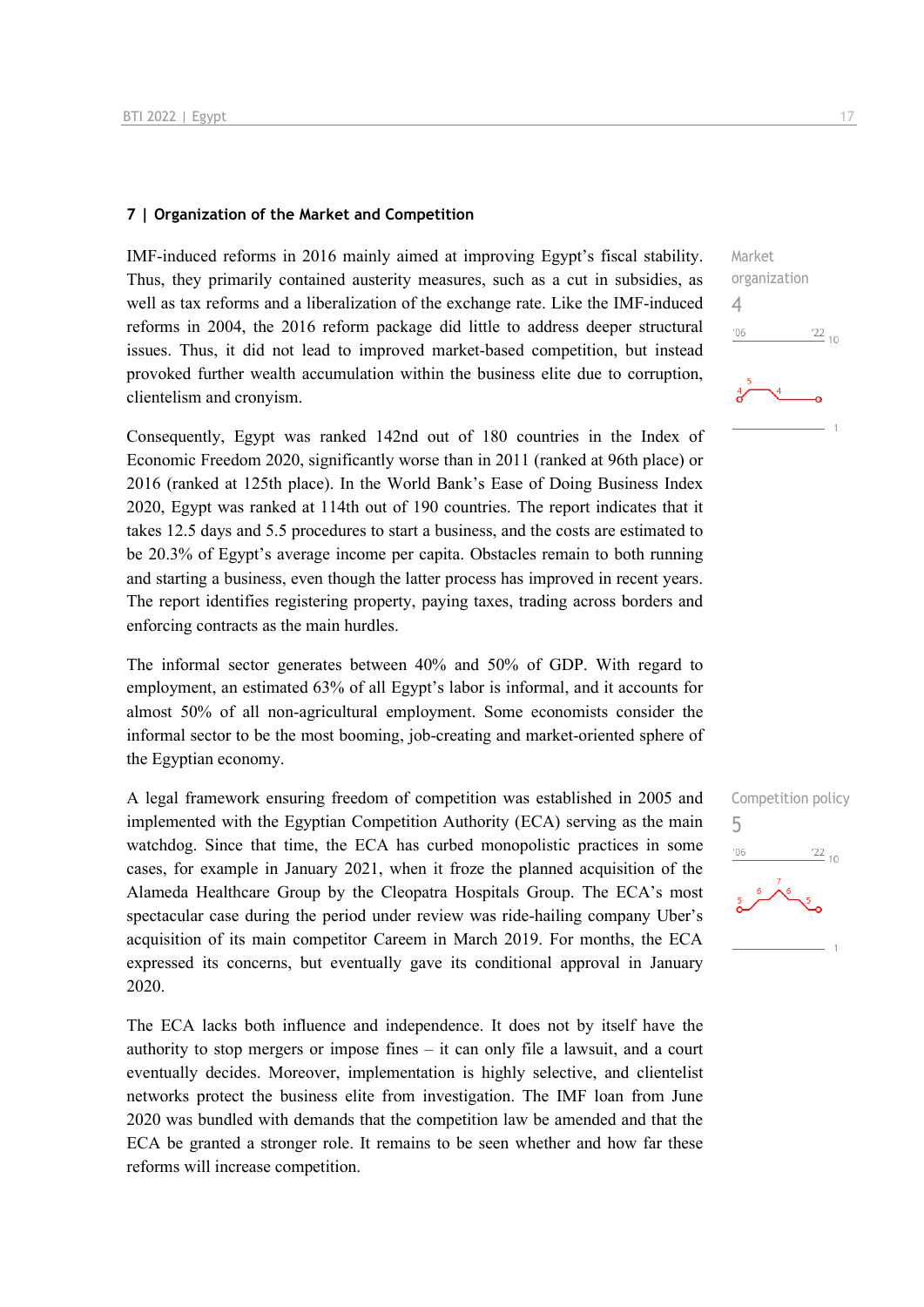#### **7 | Organization of the Market and Competition**

IMF-induced reforms in 2016 mainly aimed at improving Egypt's fiscal stability. Thus, they primarily contained austerity measures, such as a cut in subsidies, as well as tax reforms and a liberalization of the exchange rate. Like the IMF-induced reforms in 2004, the 2016 reform package did little to address deeper structural issues. Thus, it did not lead to improved market-based competition, but instead provoked further wealth accumulation within the business elite due to corruption, clientelism and cronyism.

Consequently, Egypt was ranked 142nd out of 180 countries in the Index of Economic Freedom 2020, significantly worse than in 2011 (ranked at 96th place) or 2016 (ranked at 125th place). In the World Bank's Ease of Doing Business Index 2020, Egypt was ranked at 114th out of 190 countries. The report indicates that it takes 12.5 days and 5.5 procedures to start a business, and the costs are estimated to be 20.3% of Egypt's average income per capita. Obstacles remain to both running and starting a business, even though the latter process has improved in recent years. The report identifies registering property, paying taxes, trading across borders and enforcing contracts as the main hurdles.

The informal sector generates between 40% and 50% of GDP. With regard to employment, an estimated 63% of all Egypt's labor is informal, and it accounts for almost 50% of all non-agricultural employment. Some economists consider the informal sector to be the most booming, job-creating and market-oriented sphere of the Egyptian economy.

A legal framework ensuring freedom of competition was established in 2005 and implemented with the Egyptian Competition Authority (ECA) serving as the main watchdog. Since that time, the ECA has curbed monopolistic practices in some cases, for example in January 2021, when it froze the planned acquisition of the Alameda Healthcare Group by the Cleopatra Hospitals Group. The ECA's most spectacular case during the period under review was ride-hailing company Uber's acquisition of its main competitor Careem in March 2019. For months, the ECA expressed its concerns, but eventually gave its conditional approval in January 2020.

The ECA lacks both influence and independence. It does not by itself have the authority to stop mergers or impose fines – it can only file a lawsuit, and a court eventually decides. Moreover, implementation is highly selective, and clientelist networks protect the business elite from investigation. The IMF loan from June 2020 was bundled with demands that the competition law be amended and that the ECA be granted a stronger role. It remains to be seen whether and how far these reforms will increase competition.



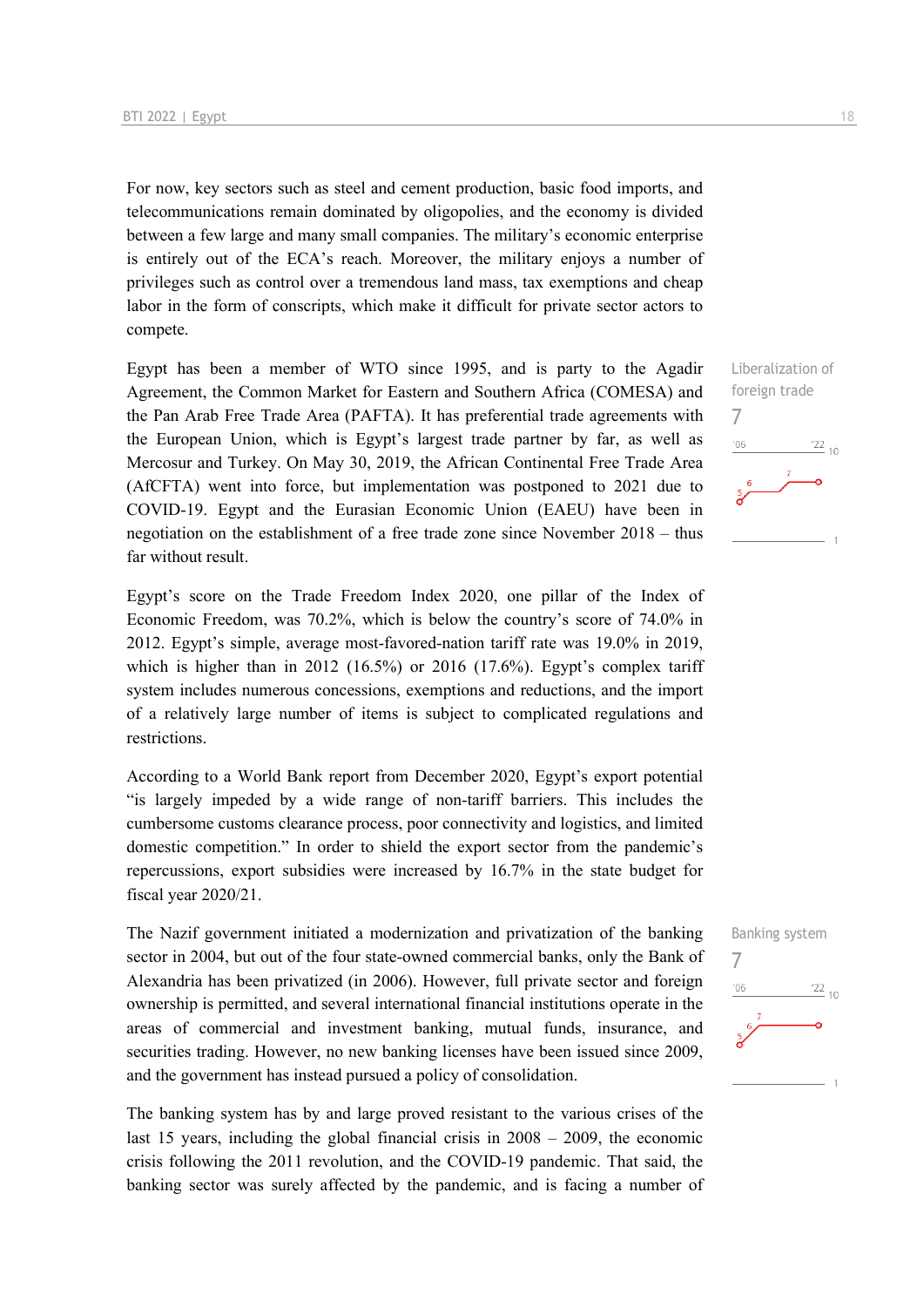For now, key sectors such as steel and cement production, basic food imports, and telecommunications remain dominated by oligopolies, and the economy is divided between a few large and many small companies. The military's economic enterprise is entirely out of the ECA's reach. Moreover, the military enjoys a number of privileges such as control over a tremendous land mass, tax exemptions and cheap labor in the form of conscripts, which make it difficult for private sector actors to compete.

Egypt has been a member of WTO since 1995, and is party to the Agadir Agreement, the Common Market for Eastern and Southern Africa (COMESA) and the Pan Arab Free Trade Area (PAFTA). It has preferential trade agreements with the European Union, which is Egypt's largest trade partner by far, as well as Mercosur and Turkey. On May 30, 2019, the African Continental Free Trade Area (AfCFTA) went into force, but implementation was postponed to 2021 due to COVID-19. Egypt and the Eurasian Economic Union (EAEU) have been in negotiation on the establishment of a free trade zone since November 2018 – thus far without result.

Egypt's score on the Trade Freedom Index 2020, one pillar of the Index of Economic Freedom, was 70.2%, which is below the country's score of 74.0% in 2012. Egypt's simple, average most-favored-nation tariff rate was 19.0% in 2019, which is higher than in 2012 (16.5%) or 2016 (17.6%). Egypt's complex tariff system includes numerous concessions, exemptions and reductions, and the import of a relatively large number of items is subject to complicated regulations and restrictions.

According to a World Bank report from December 2020, Egypt's export potential "is largely impeded by a wide range of non-tariff barriers. This includes the cumbersome customs clearance process, poor connectivity and logistics, and limited domestic competition." In order to shield the export sector from the pandemic's repercussions, export subsidies were increased by 16.7% in the state budget for fiscal year 2020/21.

The Nazif government initiated a modernization and privatization of the banking sector in 2004, but out of the four state-owned commercial banks, only the Bank of Alexandria has been privatized (in 2006). However, full private sector and foreign ownership is permitted, and several international financial institutions operate in the areas of commercial and investment banking, mutual funds, insurance, and securities trading. However, no new banking licenses have been issued since 2009, and the government has instead pursued a policy of consolidation.

The banking system has by and large proved resistant to the various crises of the last 15 years, including the global financial crisis in 2008 – 2009, the economic crisis following the 2011 revolution, and the COVID-19 pandemic. That said, the banking sector was surely affected by the pandemic, and is facing a number of



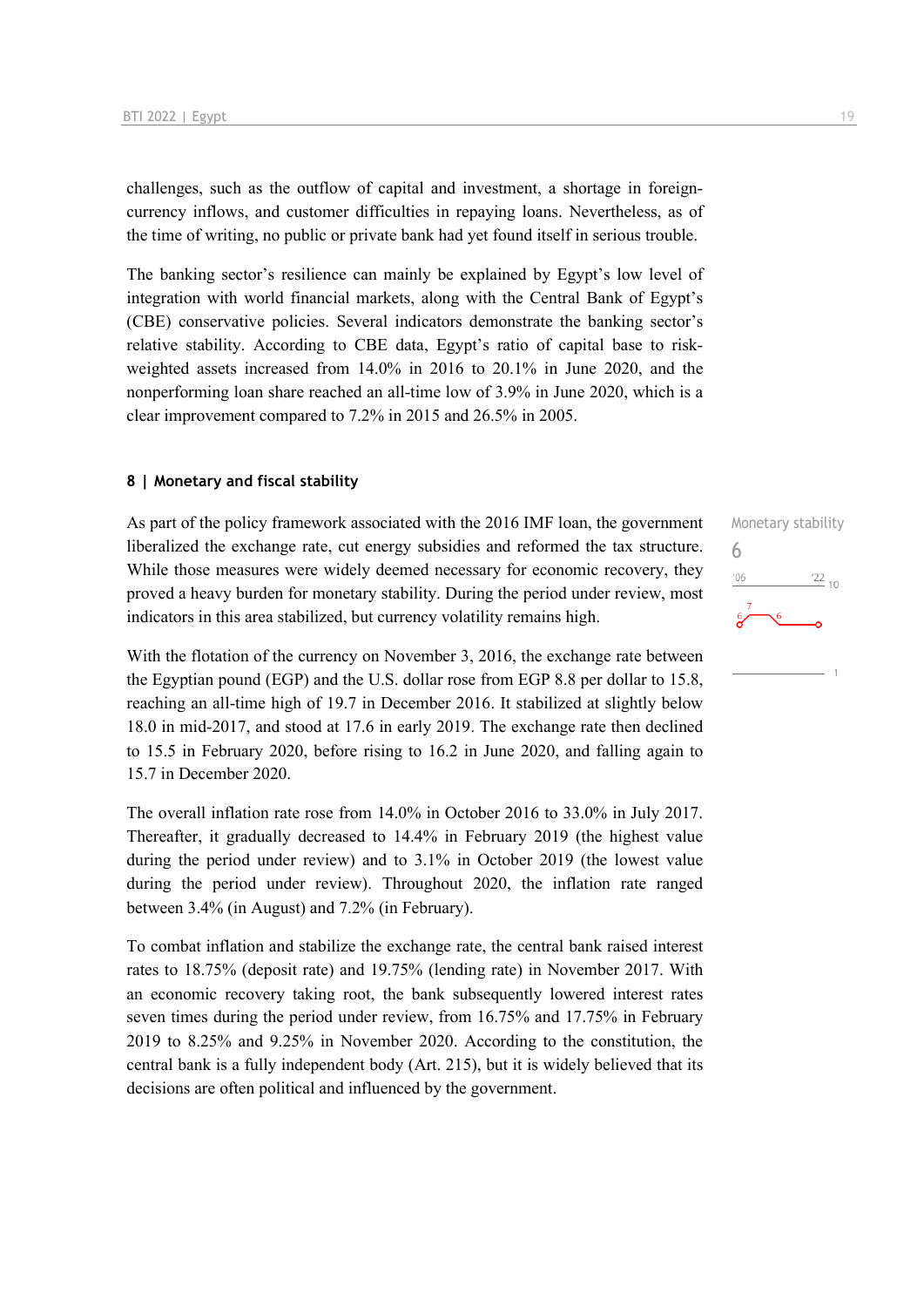challenges, such as the outflow of capital and investment, a shortage in foreigncurrency inflows, and customer difficulties in repaying loans. Nevertheless, as of the time of writing, no public or private bank had yet found itself in serious trouble.

The banking sector's resilience can mainly be explained by Egypt's low level of integration with world financial markets, along with the Central Bank of Egypt's (CBE) conservative policies. Several indicators demonstrate the banking sector's relative stability. According to CBE data, Egypt's ratio of capital base to riskweighted assets increased from 14.0% in 2016 to 20.1% in June 2020, and the nonperforming loan share reached an all-time low of 3.9% in June 2020, which is a clear improvement compared to 7.2% in 2015 and 26.5% in 2005.

#### **8 | Monetary and fiscal stability**

As part of the policy framework associated with the 2016 IMF loan, the government liberalized the exchange rate, cut energy subsidies and reformed the tax structure. While those measures were widely deemed necessary for economic recovery, they proved a heavy burden for monetary stability. During the period under review, most indicators in this area stabilized, but currency volatility remains high.

With the flotation of the currency on November 3, 2016, the exchange rate between the Egyptian pound (EGP) and the U.S. dollar rose from EGP 8.8 per dollar to 15.8, reaching an all-time high of 19.7 in December 2016. It stabilized at slightly below 18.0 in mid-2017, and stood at 17.6 in early 2019. The exchange rate then declined to 15.5 in February 2020, before rising to 16.2 in June 2020, and falling again to 15.7 in December 2020.

The overall inflation rate rose from 14.0% in October 2016 to 33.0% in July 2017. Thereafter, it gradually decreased to 14.4% in February 2019 (the highest value during the period under review) and to 3.1% in October 2019 (the lowest value during the period under review). Throughout 2020, the inflation rate ranged between 3.4% (in August) and 7.2% (in February).

To combat inflation and stabilize the exchange rate, the central bank raised interest rates to 18.75% (deposit rate) and 19.75% (lending rate) in November 2017. With an economic recovery taking root, the bank subsequently lowered interest rates seven times during the period under review, from 16.75% and 17.75% in February 2019 to 8.25% and 9.25% in November 2020. According to the constitution, the central bank is a fully independent body (Art. 215), but it is widely believed that its decisions are often political and influenced by the government.

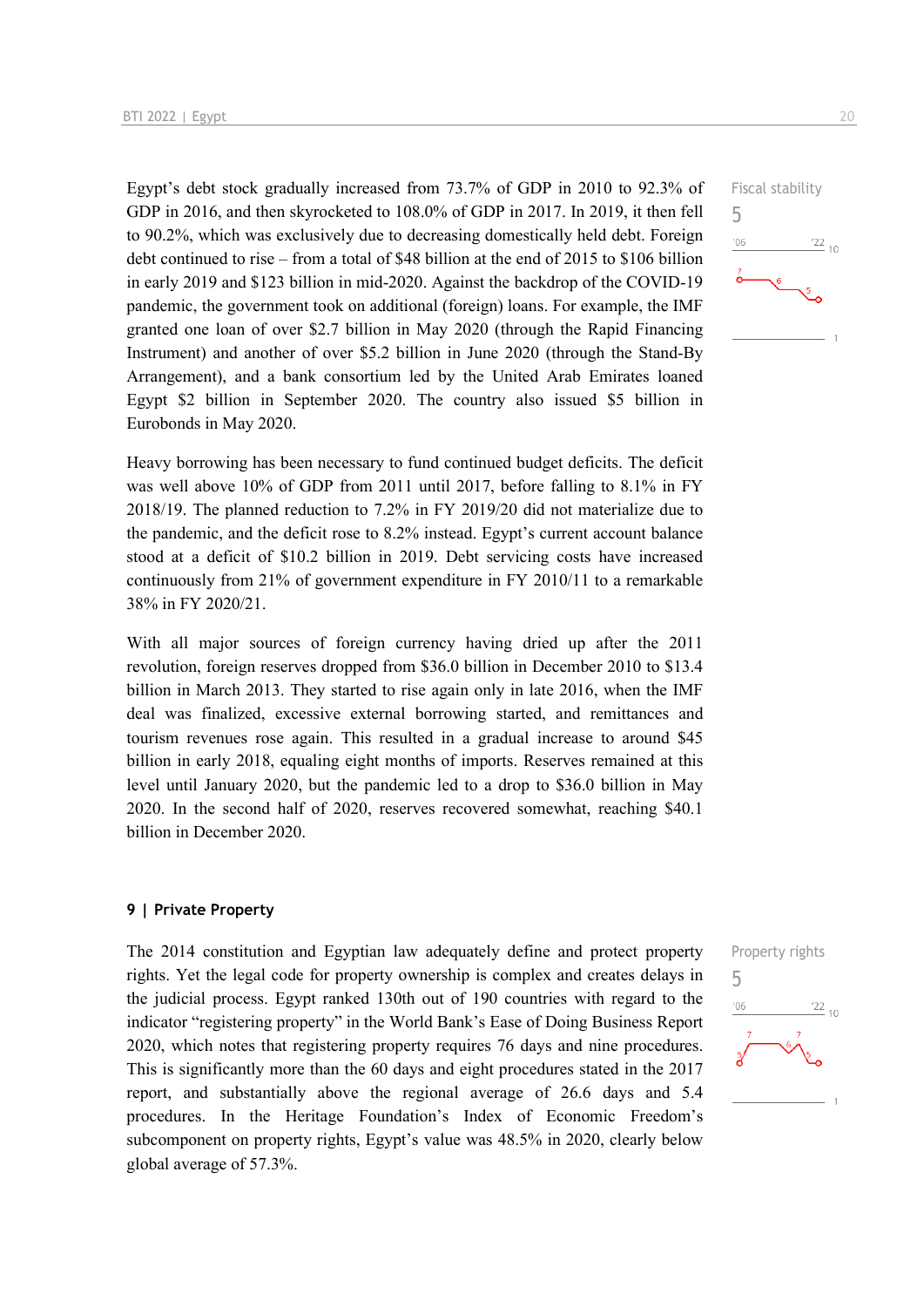Egypt's debt stock gradually increased from 73.7% of GDP in 2010 to 92.3% of GDP in 2016, and then skyrocketed to 108.0% of GDP in 2017. In 2019, it then fell to 90.2%, which was exclusively due to decreasing domestically held debt. Foreign debt continued to rise – from a total of \$48 billion at the end of 2015 to \$106 billion in early 2019 and \$123 billion in mid-2020. Against the backdrop of the COVID-19 pandemic, the government took on additional (foreign) loans. For example, the IMF granted one loan of over \$2.7 billion in May 2020 (through the Rapid Financing Instrument) and another of over \$5.2 billion in June 2020 (through the Stand-By Arrangement), and a bank consortium led by the United Arab Emirates loaned Egypt \$2 billion in September 2020. The country also issued \$5 billion in Eurobonds in May 2020.

Heavy borrowing has been necessary to fund continued budget deficits. The deficit was well above 10% of GDP from 2011 until 2017, before falling to 8.1% in FY 2018/19. The planned reduction to 7.2% in FY 2019/20 did not materialize due to the pandemic, and the deficit rose to 8.2% instead. Egypt's current account balance stood at a deficit of \$10.2 billion in 2019. Debt servicing costs have increased continuously from 21% of government expenditure in FY 2010/11 to a remarkable 38% in FY 2020/21.

With all major sources of foreign currency having dried up after the 2011 revolution, foreign reserves dropped from \$36.0 billion in December 2010 to \$13.4 billion in March 2013. They started to rise again only in late 2016, when the IMF deal was finalized, excessive external borrowing started, and remittances and tourism revenues rose again. This resulted in a gradual increase to around \$45 billion in early 2018, equaling eight months of imports. Reserves remained at this level until January 2020, but the pandemic led to a drop to \$36.0 billion in May 2020. In the second half of 2020, reserves recovered somewhat, reaching \$40.1 billion in December 2020.

#### **9 | Private Property**

The 2014 constitution and Egyptian law adequately define and protect property rights. Yet the legal code for property ownership is complex and creates delays in the judicial process. Egypt ranked 130th out of 190 countries with regard to the indicator "registering property" in the World Bank's Ease of Doing Business Report 2020, which notes that registering property requires 76 days and nine procedures. This is significantly more than the 60 days and eight procedures stated in the 2017 report, and substantially above the regional average of 26.6 days and 5.4 procedures. In the Heritage Foundation's Index of Economic Freedom's subcomponent on property rights, Egypt's value was 48.5% in 2020, clearly below global average of 57.3%.



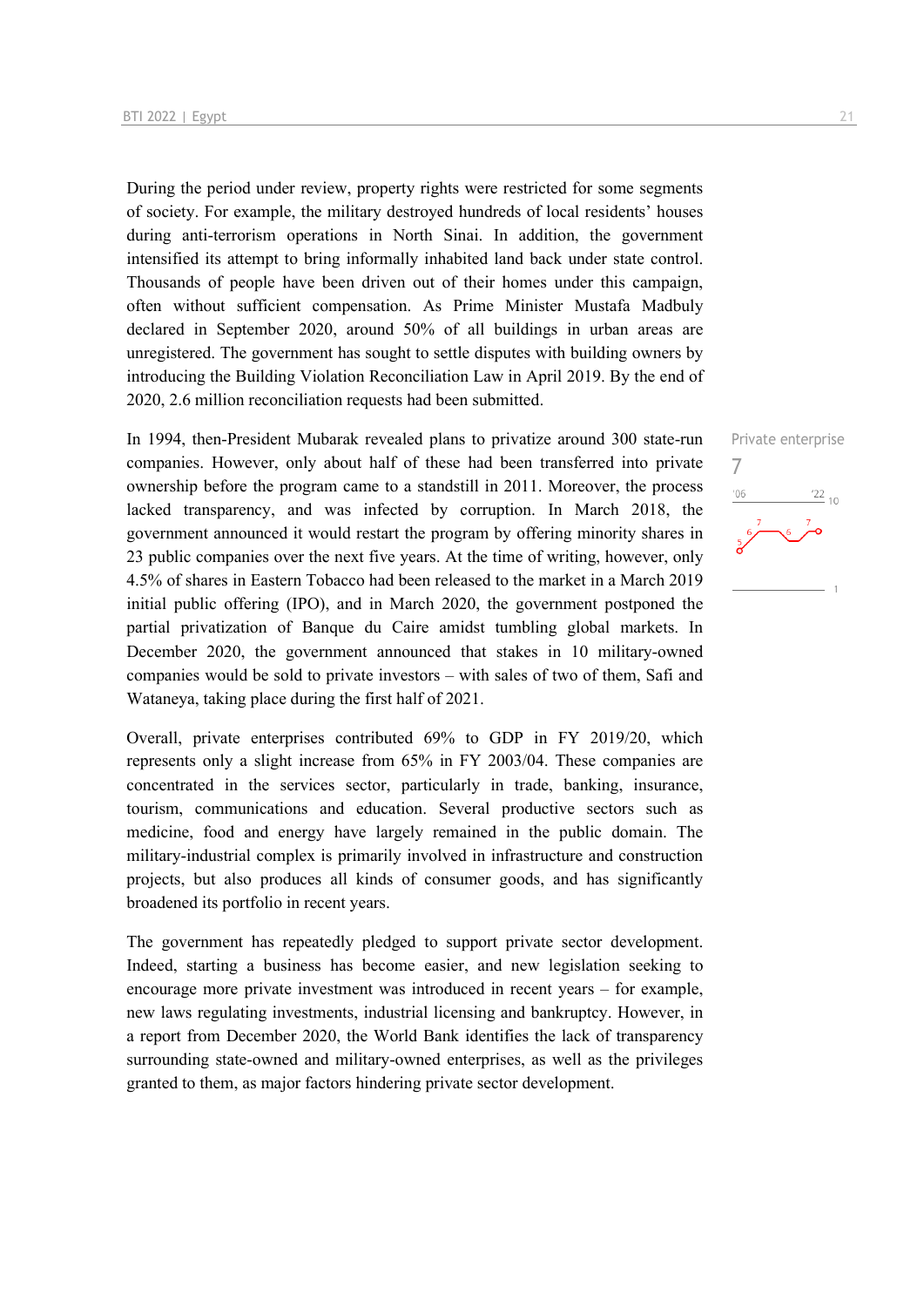During the period under review, property rights were restricted for some segments of society. For example, the military destroyed hundreds of local residents' houses during anti-terrorism operations in North Sinai. In addition, the government intensified its attempt to bring informally inhabited land back under state control. Thousands of people have been driven out of their homes under this campaign, often without sufficient compensation. As Prime Minister Mustafa Madbuly declared in September 2020, around 50% of all buildings in urban areas are unregistered. The government has sought to settle disputes with building owners by introducing the Building Violation Reconciliation Law in April 2019. By the end of 2020, 2.6 million reconciliation requests had been submitted.

In 1994, then-President Mubarak revealed plans to privatize around 300 state-run companies. However, only about half of these had been transferred into private ownership before the program came to a standstill in 2011. Moreover, the process lacked transparency, and was infected by corruption. In March 2018, the government announced it would restart the program by offering minority shares in 23 public companies over the next five years. At the time of writing, however, only 4.5% of shares in Eastern Tobacco had been released to the market in a March 2019 initial public offering (IPO), and in March 2020, the government postponed the partial privatization of Banque du Caire amidst tumbling global markets. In December 2020, the government announced that stakes in 10 military-owned companies would be sold to private investors – with sales of two of them, Safi and Wataneya, taking place during the first half of 2021.

Overall, private enterprises contributed 69% to GDP in FY 2019/20, which represents only a slight increase from 65% in FY 2003/04. These companies are concentrated in the services sector, particularly in trade, banking, insurance, tourism, communications and education. Several productive sectors such as medicine, food and energy have largely remained in the public domain. The military-industrial complex is primarily involved in infrastructure and construction projects, but also produces all kinds of consumer goods, and has significantly broadened its portfolio in recent years.

The government has repeatedly pledged to support private sector development. Indeed, starting a business has become easier, and new legislation seeking to encourage more private investment was introduced in recent years – for example, new laws regulating investments, industrial licensing and bankruptcy. However, in a report from December 2020, the World Bank identifies the lack of transparency surrounding state-owned and military-owned enterprises, as well as the privileges granted to them, as major factors hindering private sector development.

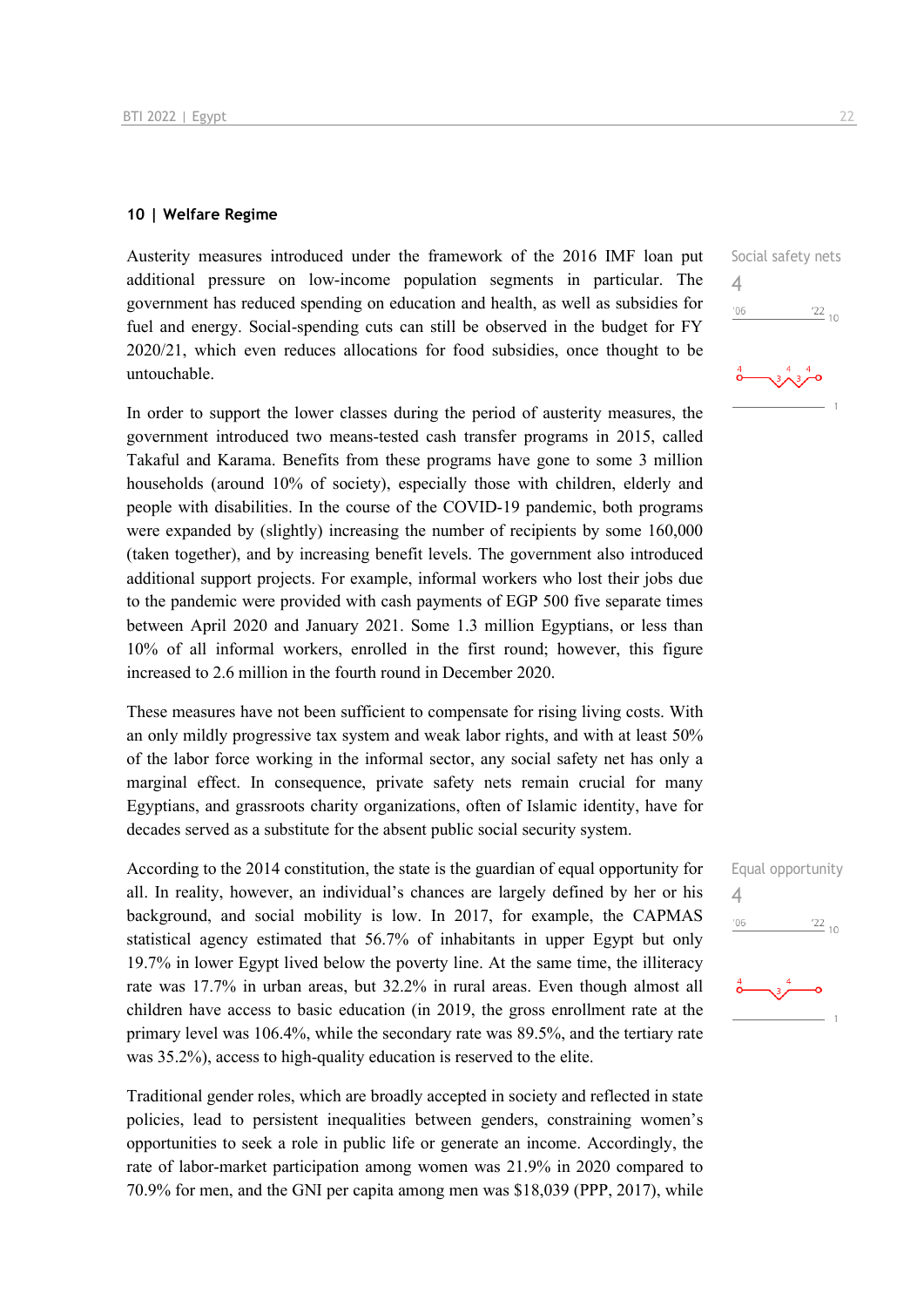#### **10 | Welfare Regime**

Austerity measures introduced under the framework of the 2016 IMF loan put additional pressure on low-income population segments in particular. The government has reduced spending on education and health, as well as subsidies for fuel and energy. Social-spending cuts can still be observed in the budget for FY 2020/21, which even reduces allocations for food subsidies, once thought to be untouchable.

In order to support the lower classes during the period of austerity measures, the government introduced two means-tested cash transfer programs in 2015, called Takaful and Karama. Benefits from these programs have gone to some 3 million households (around 10% of society), especially those with children, elderly and people with disabilities. In the course of the COVID-19 pandemic, both programs were expanded by (slightly) increasing the number of recipients by some 160,000 (taken together), and by increasing benefit levels. The government also introduced additional support projects. For example, informal workers who lost their jobs due to the pandemic were provided with cash payments of EGP 500 five separate times between April 2020 and January 2021. Some 1.3 million Egyptians, or less than 10% of all informal workers, enrolled in the first round; however, this figure increased to 2.6 million in the fourth round in December 2020.

These measures have not been sufficient to compensate for rising living costs. With an only mildly progressive tax system and weak labor rights, and with at least 50% of the labor force working in the informal sector, any social safety net has only a marginal effect. In consequence, private safety nets remain crucial for many Egyptians, and grassroots charity organizations, often of Islamic identity, have for decades served as a substitute for the absent public social security system.

According to the 2014 constitution, the state is the guardian of equal opportunity for all. In reality, however, an individual's chances are largely defined by her or his background, and social mobility is low. In 2017, for example, the CAPMAS statistical agency estimated that 56.7% of inhabitants in upper Egypt but only 19.7% in lower Egypt lived below the poverty line. At the same time, the illiteracy rate was 17.7% in urban areas, but 32.2% in rural areas. Even though almost all children have access to basic education (in 2019, the gross enrollment rate at the primary level was 106.4%, while the secondary rate was 89.5%, and the tertiary rate was 35.2%), access to high-quality education is reserved to the elite.

Traditional gender roles, which are broadly accepted in society and reflected in state policies, lead to persistent inequalities between genders, constraining women's opportunities to seek a role in public life or generate an income. Accordingly, the rate of labor-market participation among women was 21.9% in 2020 compared to 70.9% for men, and the GNI per capita among men was \$18,039 (PPP, 2017), while



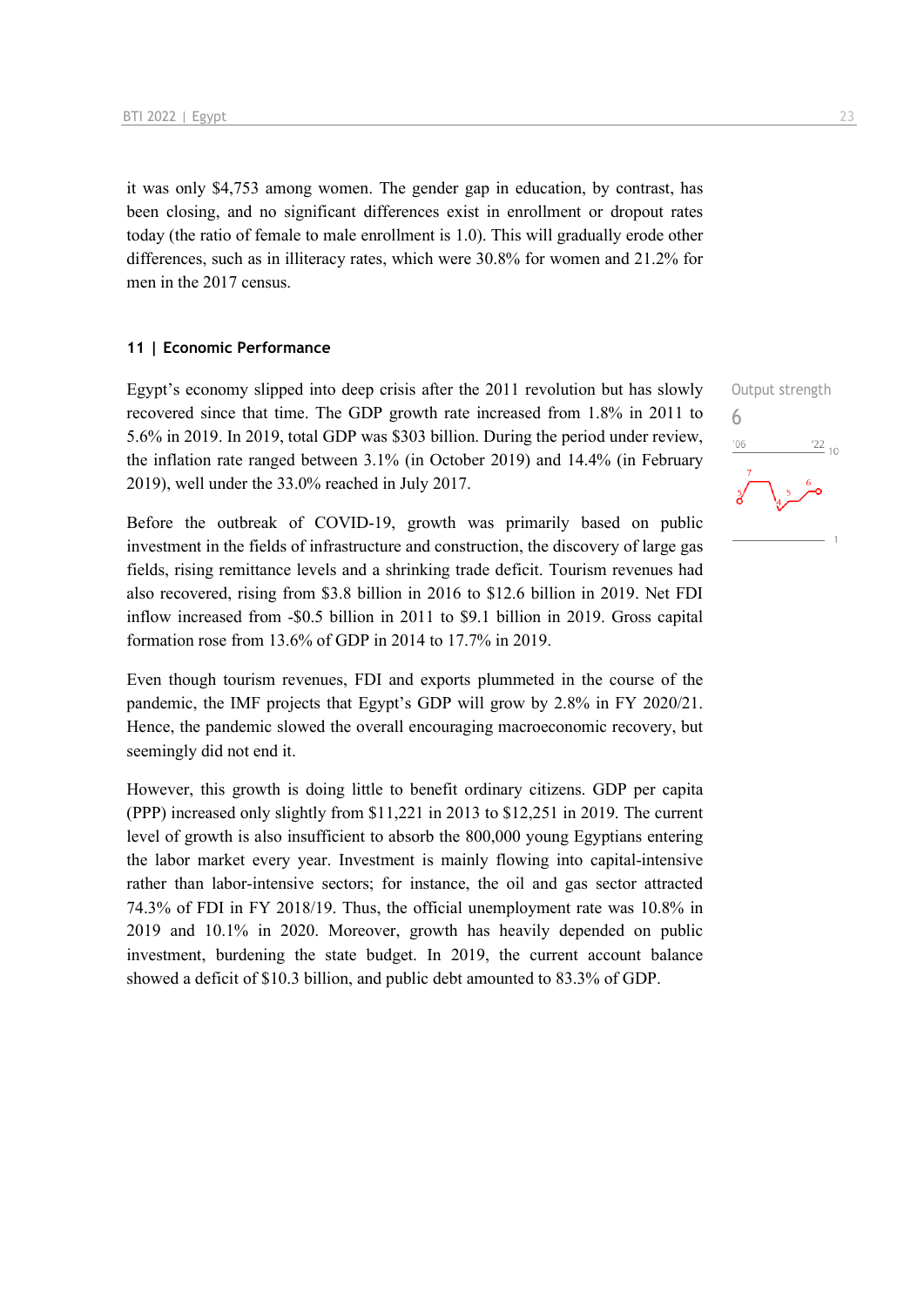it was only \$4,753 among women. The gender gap in education, by contrast, has been closing, and no significant differences exist in enrollment or dropout rates today (the ratio of female to male enrollment is 1.0). This will gradually erode other differences, such as in illiteracy rates, which were 30.8% for women and 21.2% for men in the 2017 census.

#### **11 | Economic Performance**

Egypt's economy slipped into deep crisis after the 2011 revolution but has slowly recovered since that time. The GDP growth rate increased from 1.8% in 2011 to 5.6% in 2019. In 2019, total GDP was \$303 billion. During the period under review, the inflation rate ranged between 3.1% (in October 2019) and 14.4% (in February 2019), well under the 33.0% reached in July 2017.

Before the outbreak of COVID-19, growth was primarily based on public investment in the fields of infrastructure and construction, the discovery of large gas fields, rising remittance levels and a shrinking trade deficit. Tourism revenues had also recovered, rising from \$3.8 billion in 2016 to \$12.6 billion in 2019. Net FDI inflow increased from -\$0.5 billion in 2011 to \$9.1 billion in 2019. Gross capital formation rose from 13.6% of GDP in 2014 to 17.7% in 2019.

Even though tourism revenues, FDI and exports plummeted in the course of the pandemic, the IMF projects that Egypt's GDP will grow by 2.8% in FY 2020/21. Hence, the pandemic slowed the overall encouraging macroeconomic recovery, but seemingly did not end it.

However, this growth is doing little to benefit ordinary citizens. GDP per capita (PPP) increased only slightly from \$11,221 in 2013 to \$12,251 in 2019. The current level of growth is also insufficient to absorb the 800,000 young Egyptians entering the labor market every year. Investment is mainly flowing into capital-intensive rather than labor-intensive sectors; for instance, the oil and gas sector attracted 74.3% of FDI in FY 2018/19. Thus, the official unemployment rate was 10.8% in 2019 and 10.1% in 2020. Moreover, growth has heavily depended on public investment, burdening the state budget. In 2019, the current account balance showed a deficit of \$10.3 billion, and public debt amounted to 83.3% of GDP.

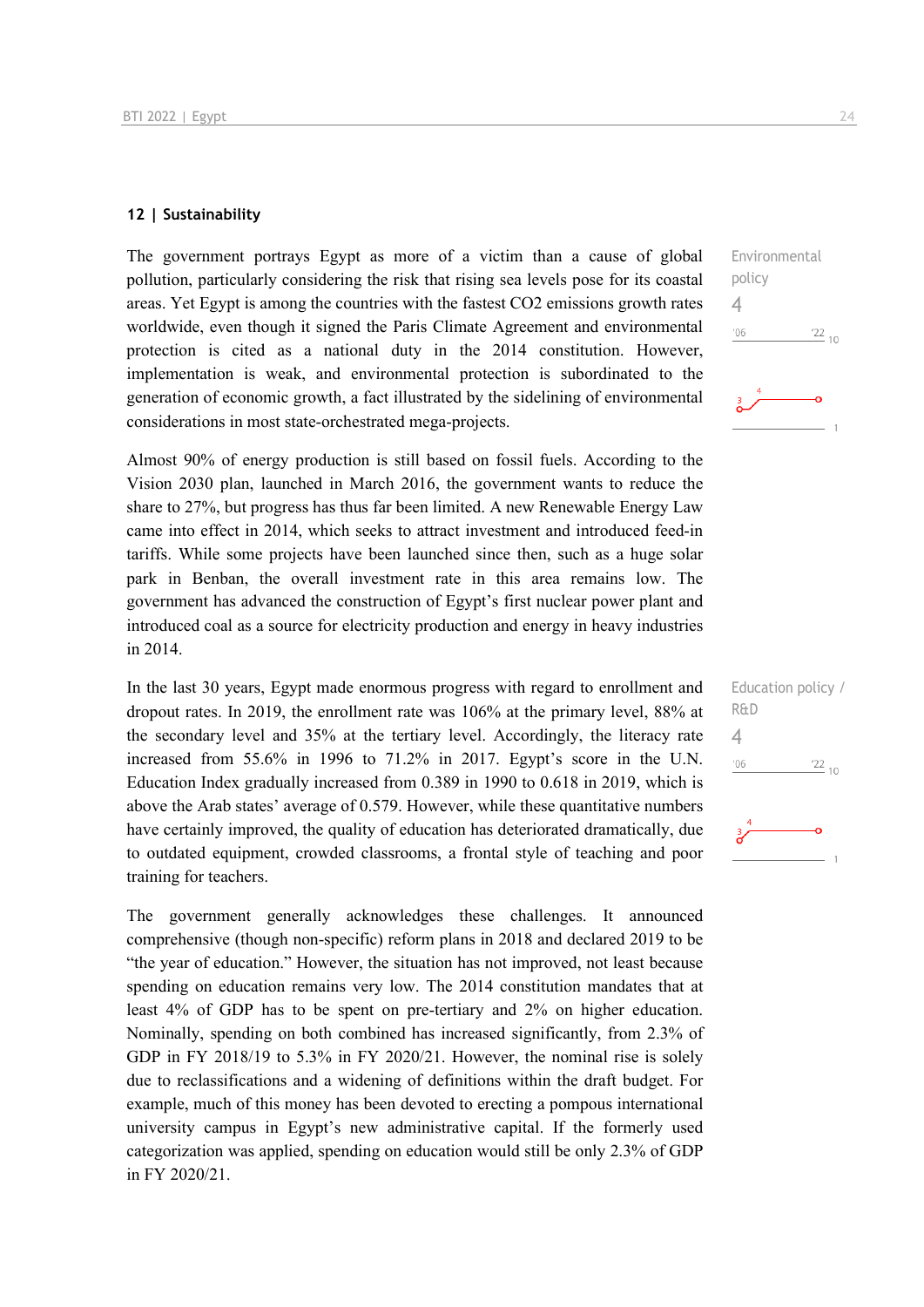#### **12 | Sustainability**

The government portrays Egypt as more of a victim than a cause of global pollution, particularly considering the risk that rising sea levels pose for its coastal areas. Yet Egypt is among the countries with the fastest CO2 emissions growth rates worldwide, even though it signed the Paris Climate Agreement and environmental protection is cited as a national duty in the 2014 constitution. However, implementation is weak, and environmental protection is subordinated to the generation of economic growth, a fact illustrated by the sidelining of environmental considerations in most state-orchestrated mega-projects.

Almost 90% of energy production is still based on fossil fuels. According to the Vision 2030 plan, launched in March 2016, the government wants to reduce the share to 27%, but progress has thus far been limited. A new Renewable Energy Law came into effect in 2014, which seeks to attract investment and introduced feed-in tariffs. While some projects have been launched since then, such as a huge solar park in Benban, the overall investment rate in this area remains low. The government has advanced the construction of Egypt's first nuclear power plant and introduced coal as a source for electricity production and energy in heavy industries in 2014.

In the last 30 years, Egypt made enormous progress with regard to enrollment and dropout rates. In 2019, the enrollment rate was 106% at the primary level, 88% at the secondary level and 35% at the tertiary level. Accordingly, the literacy rate increased from 55.6% in 1996 to 71.2% in 2017. Egypt's score in the U.N. Education Index gradually increased from 0.389 in 1990 to 0.618 in 2019, which is above the Arab states' average of 0.579. However, while these quantitative numbers have certainly improved, the quality of education has deteriorated dramatically, due to outdated equipment, crowded classrooms, a frontal style of teaching and poor training for teachers.

The government generally acknowledges these challenges. It announced comprehensive (though non-specific) reform plans in 2018 and declared 2019 to be "the year of education." However, the situation has not improved, not least because spending on education remains very low. The 2014 constitution mandates that at least 4% of GDP has to be spent on pre-tertiary and 2% on higher education. Nominally, spending on both combined has increased significantly, from 2.3% of GDP in FY 2018/19 to 5.3% in FY 2020/21. However, the nominal rise is solely due to reclassifications and a widening of definitions within the draft budget. For example, much of this money has been devoted to erecting a pompous international university campus in Egypt's new administrative capital. If the formerly used categorization was applied, spending on education would still be only 2.3% of GDP in FY 2020/21.



| Education policy /<br>R&D |  |
|---------------------------|--|
|                           |  |
| '06<br>$\frac{22}{10}$    |  |
|                           |  |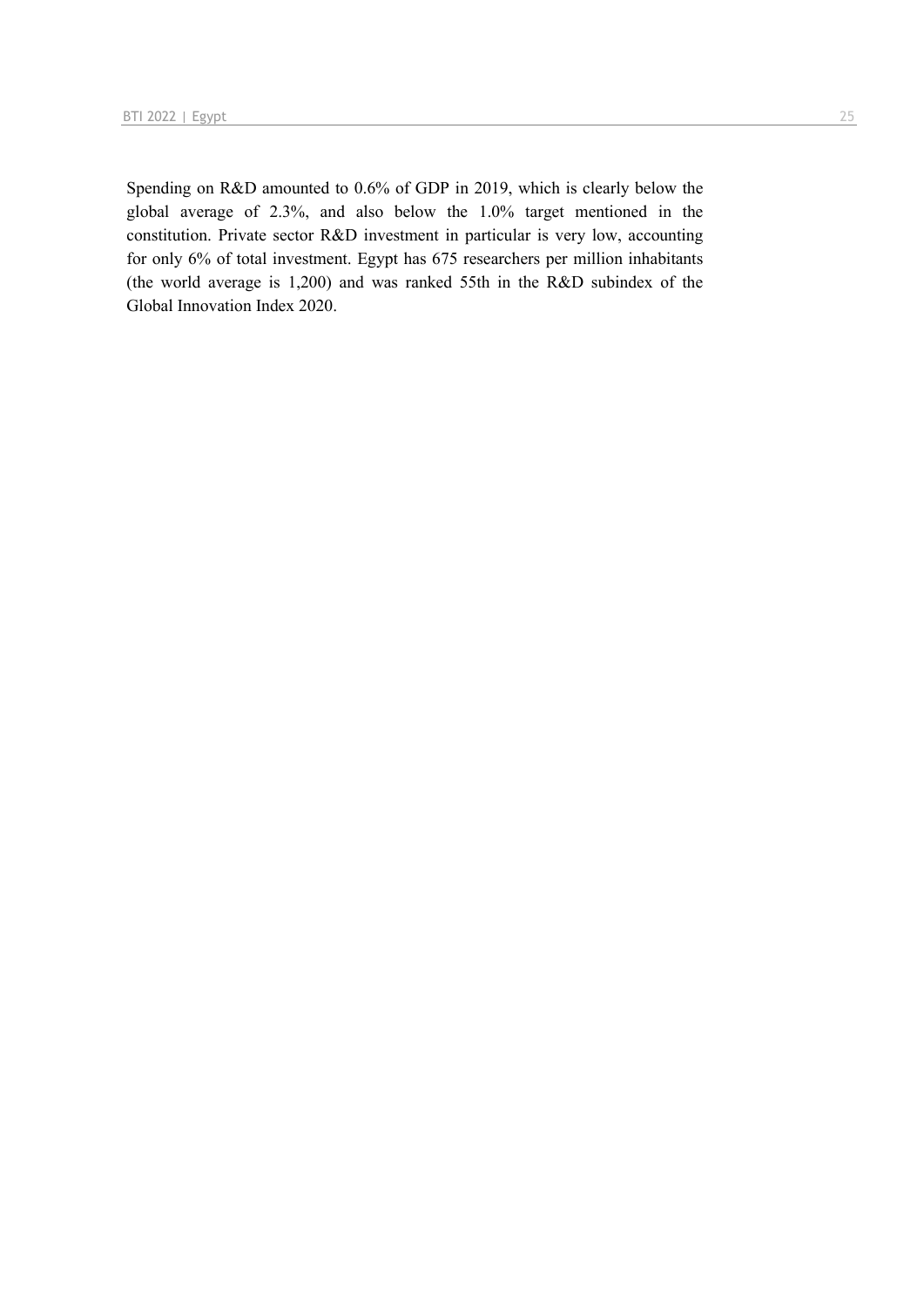Spending on R&D amounted to 0.6% of GDP in 2019, which is clearly below the global average of 2.3%, and also below the 1.0% target mentioned in the constitution. Private sector R&D investment in particular is very low, accounting for only 6% of total investment. Egypt has 675 researchers per million inhabitants (the world average is 1,200) and was ranked 55th in the R&D subindex of the Global Innovation Index 2020.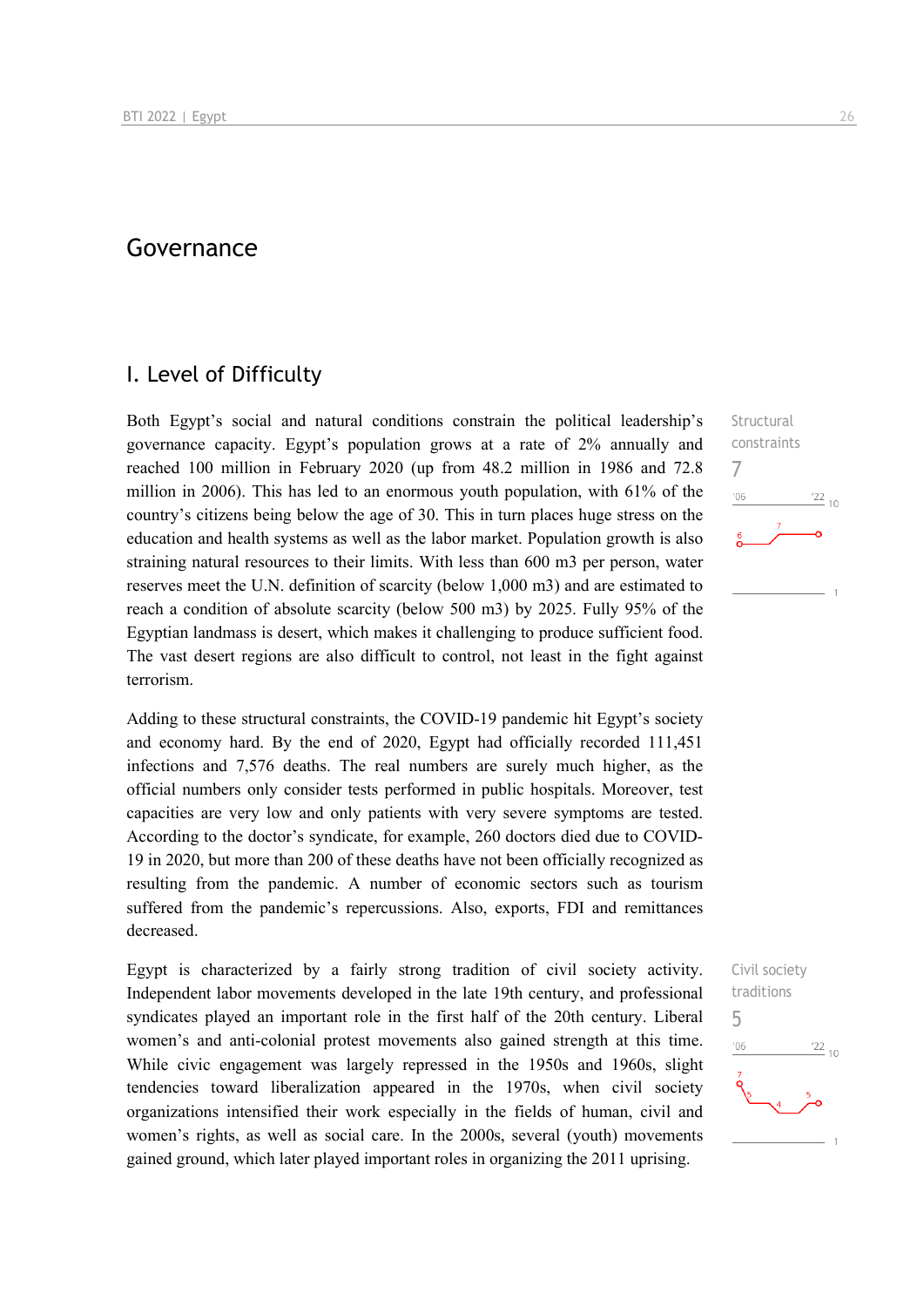## Governance

### I. Level of Difficulty

Both Egypt's social and natural conditions constrain the political leadership's governance capacity. Egypt's population grows at a rate of 2% annually and reached 100 million in February 2020 (up from 48.2 million in 1986 and 72.8 million in 2006). This has led to an enormous youth population, with 61% of the country's citizens being below the age of 30. This in turn places huge stress on the education and health systems as well as the labor market. Population growth is also straining natural resources to their limits. With less than 600 m3 per person, water reserves meet the U.N. definition of scarcity (below 1,000 m3) and are estimated to reach a condition of absolute scarcity (below 500 m3) by 2025. Fully 95% of the Egyptian landmass is desert, which makes it challenging to produce sufficient food. The vast desert regions are also difficult to control, not least in the fight against terrorism.

Adding to these structural constraints, the COVID-19 pandemic hit Egypt's society and economy hard. By the end of 2020, Egypt had officially recorded 111,451 infections and 7,576 deaths. The real numbers are surely much higher, as the official numbers only consider tests performed in public hospitals. Moreover, test capacities are very low and only patients with very severe symptoms are tested. According to the doctor's syndicate, for example, 260 doctors died due to COVID-19 in 2020, but more than 200 of these deaths have not been officially recognized as resulting from the pandemic. A number of economic sectors such as tourism suffered from the pandemic's repercussions. Also, exports, FDI and remittances decreased.

Egypt is characterized by a fairly strong tradition of civil society activity. Independent labor movements developed in the late 19th century, and professional syndicates played an important role in the first half of the 20th century. Liberal women's and anti-colonial protest movements also gained strength at this time. While civic engagement was largely repressed in the 1950s and 1960s, slight tendencies toward liberalization appeared in the 1970s, when civil society organizations intensified their work especially in the fields of human, civil and women's rights, as well as social care. In the 2000s, several (youth) movements gained ground, which later played important roles in organizing the 2011 uprising.

Structural constraints 7  $\frac{22}{10}$  $-06$ 

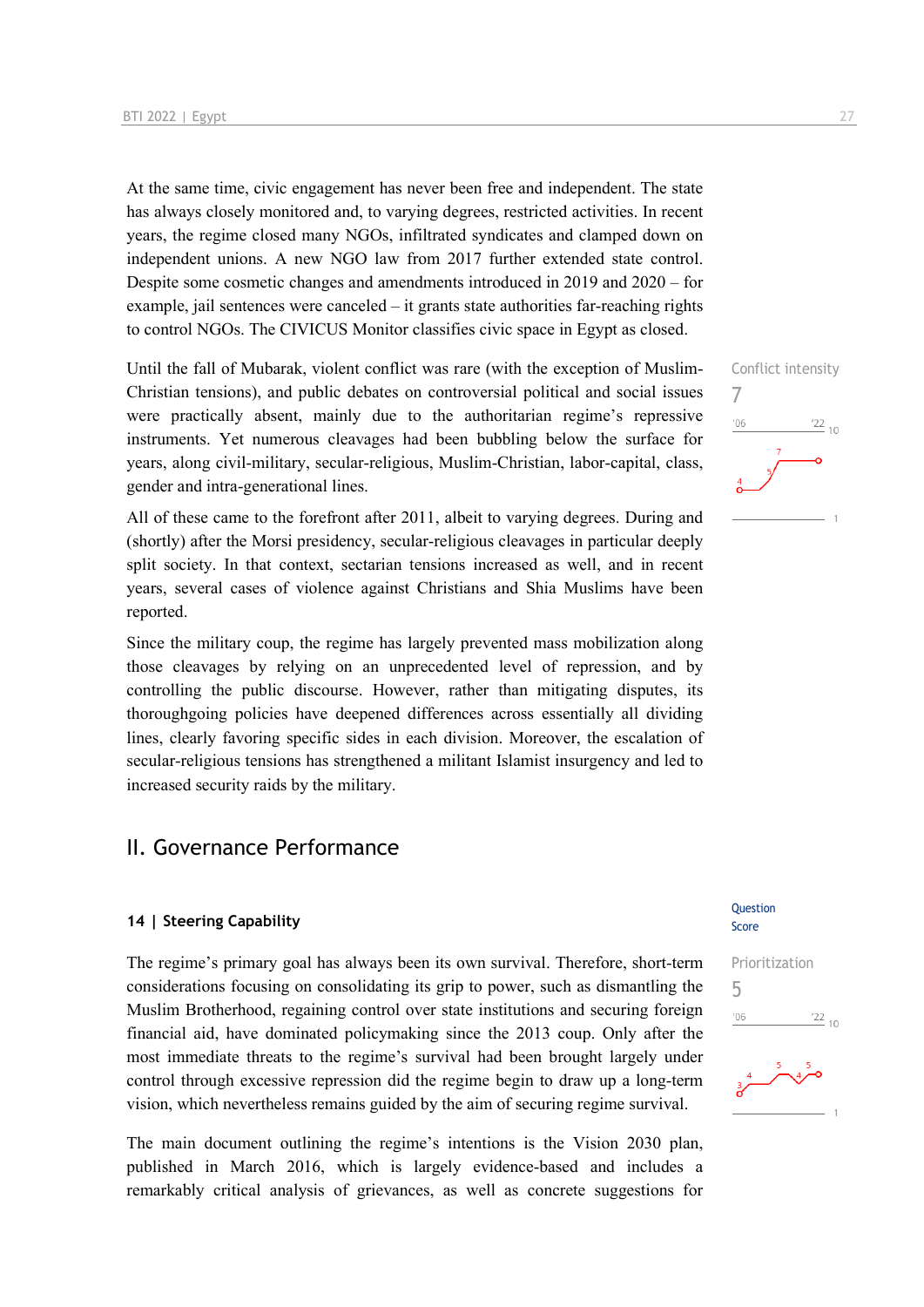At the same time, civic engagement has never been free and independent. The state has always closely monitored and, to varying degrees, restricted activities. In recent years, the regime closed many NGOs, infiltrated syndicates and clamped down on independent unions. A new NGO law from 2017 further extended state control. Despite some cosmetic changes and amendments introduced in 2019 and 2020 – for example, jail sentences were canceled – it grants state authorities far-reaching rights to control NGOs. The CIVICUS Monitor classifies civic space in Egypt as closed.

Until the fall of Mubarak, violent conflict was rare (with the exception of Muslim-Christian tensions), and public debates on controversial political and social issues were practically absent, mainly due to the authoritarian regime's repressive instruments. Yet numerous cleavages had been bubbling below the surface for years, along civil-military, secular-religious, Muslim-Christian, labor-capital, class, gender and intra-generational lines.

All of these came to the forefront after 2011, albeit to varying degrees. During and (shortly) after the Morsi presidency, secular-religious cleavages in particular deeply split society. In that context, sectarian tensions increased as well, and in recent years, several cases of violence against Christians and Shia Muslims have been reported.

Since the military coup, the regime has largely prevented mass mobilization along those cleavages by relying on an unprecedented level of repression, and by controlling the public discourse. However, rather than mitigating disputes, its thoroughgoing policies have deepened differences across essentially all dividing lines, clearly favoring specific sides in each division. Moreover, the escalation of secular-religious tensions has strengthened a militant Islamist insurgency and led to increased security raids by the military.

## II. Governance Performance

#### **14 | Steering Capability**

The regime's primary goal has always been its own survival. Therefore, short-term considerations focusing on consolidating its grip to power, such as dismantling the Muslim Brotherhood, regaining control over state institutions and securing foreign financial aid, have dominated policymaking since the 2013 coup. Only after the most immediate threats to the regime's survival had been brought largely under control through excessive repression did the regime begin to draw up a long-term vision, which nevertheless remains guided by the aim of securing regime survival.

The main document outlining the regime's intentions is the Vision 2030 plan, published in March 2016, which is largely evidence-based and includes a remarkably critical analysis of grievances, as well as concrete suggestions for Conflict intensity 7  $\frac{22}{10}$  $^{\prime}06$ 

#### **Question** Score

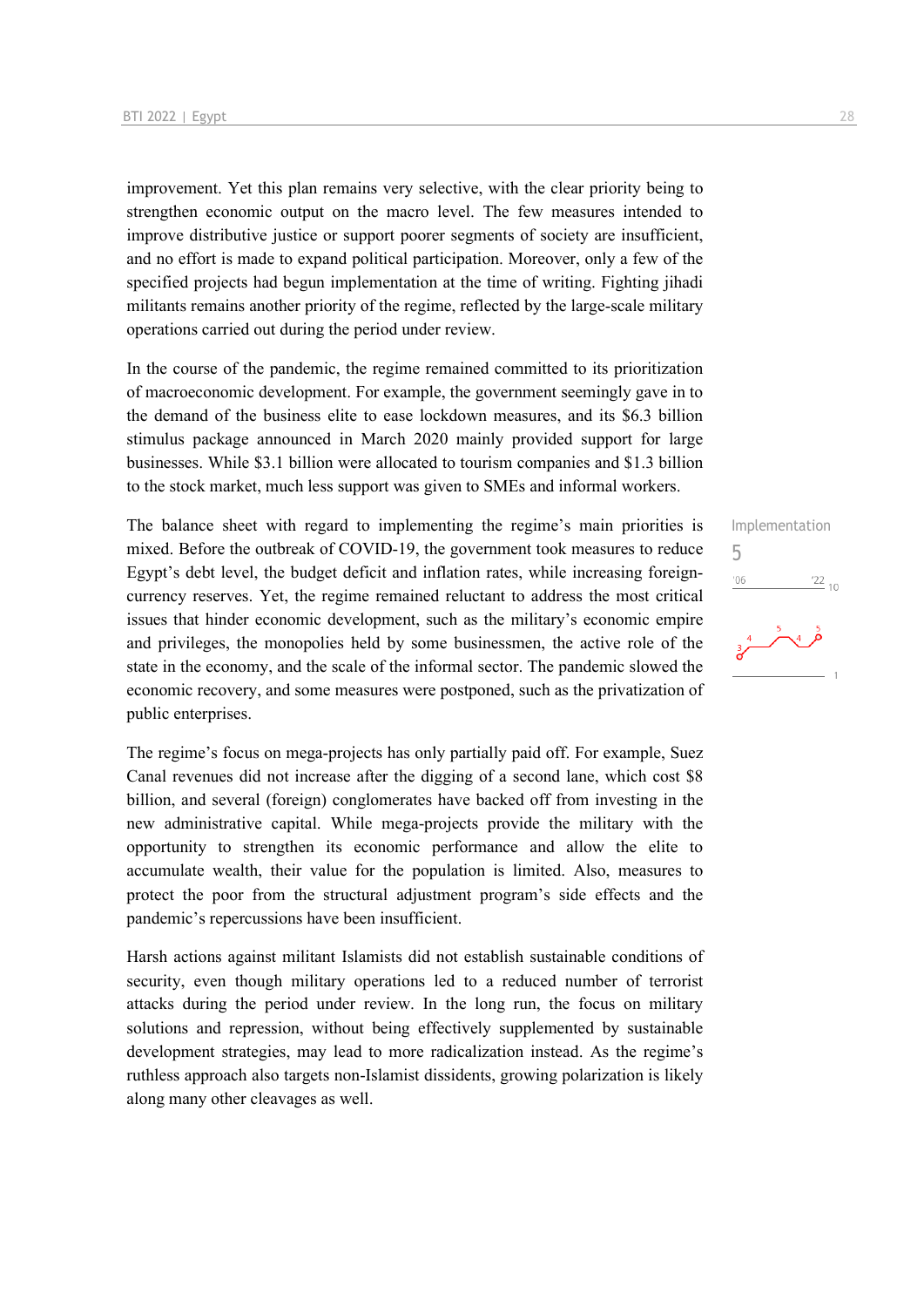improvement. Yet this plan remains very selective, with the clear priority being to strengthen economic output on the macro level. The few measures intended to improve distributive justice or support poorer segments of society are insufficient, and no effort is made to expand political participation. Moreover, only a few of the specified projects had begun implementation at the time of writing. Fighting jihadi militants remains another priority of the regime, reflected by the large-scale military operations carried out during the period under review.

In the course of the pandemic, the regime remained committed to its prioritization of macroeconomic development. For example, the government seemingly gave in to the demand of the business elite to ease lockdown measures, and its \$6.3 billion stimulus package announced in March 2020 mainly provided support for large businesses. While \$3.1 billion were allocated to tourism companies and \$1.3 billion to the stock market, much less support was given to SMEs and informal workers.

The balance sheet with regard to implementing the regime's main priorities is mixed. Before the outbreak of COVID-19, the government took measures to reduce Egypt's debt level, the budget deficit and inflation rates, while increasing foreigncurrency reserves. Yet, the regime remained reluctant to address the most critical issues that hinder economic development, such as the military's economic empire and privileges, the monopolies held by some businessmen, the active role of the state in the economy, and the scale of the informal sector. The pandemic slowed the economic recovery, and some measures were postponed, such as the privatization of public enterprises.

The regime's focus on mega-projects has only partially paid off. For example, Suez Canal revenues did not increase after the digging of a second lane, which cost \$8 billion, and several (foreign) conglomerates have backed off from investing in the new administrative capital. While mega-projects provide the military with the opportunity to strengthen its economic performance and allow the elite to accumulate wealth, their value for the population is limited. Also, measures to protect the poor from the structural adjustment program's side effects and the pandemic's repercussions have been insufficient.

Harsh actions against militant Islamists did not establish sustainable conditions of security, even though military operations led to a reduced number of terrorist attacks during the period under review. In the long run, the focus on military solutions and repression, without being effectively supplemented by sustainable development strategies, may lead to more radicalization instead. As the regime's ruthless approach also targets non-Islamist dissidents, growing polarization is likely along many other cleavages as well.

# Implementation 5 $106$  $^{22}$  10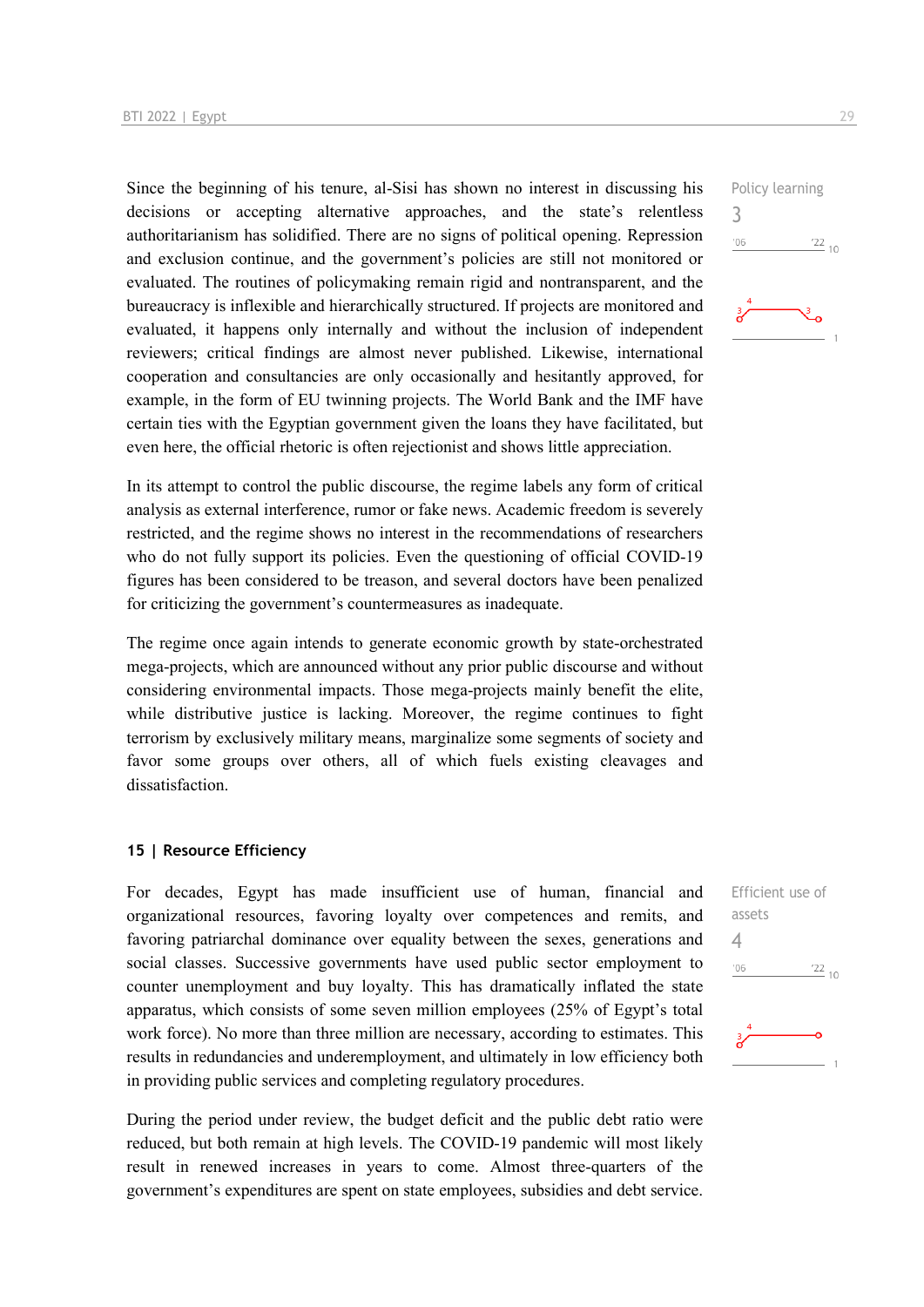Since the beginning of his tenure, al-Sisi has shown no interest in discussing his decisions or accepting alternative approaches, and the state's relentless authoritarianism has solidified. There are no signs of political opening. Repression and exclusion continue, and the government's policies are still not monitored or evaluated. The routines of policymaking remain rigid and nontransparent, and the bureaucracy is inflexible and hierarchically structured. If projects are monitored and evaluated, it happens only internally and without the inclusion of independent reviewers; critical findings are almost never published. Likewise, international cooperation and consultancies are only occasionally and hesitantly approved, for example, in the form of EU twinning projects. The World Bank and the IMF have certain ties with the Egyptian government given the loans they have facilitated, but even here, the official rhetoric is often rejectionist and shows little appreciation.

In its attempt to control the public discourse, the regime labels any form of critical analysis as external interference, rumor or fake news. Academic freedom is severely restricted, and the regime shows no interest in the recommendations of researchers who do not fully support its policies. Even the questioning of official COVID-19 figures has been considered to be treason, and several doctors have been penalized for criticizing the government's countermeasures as inadequate.

The regime once again intends to generate economic growth by state-orchestrated mega-projects, which are announced without any prior public discourse and without considering environmental impacts. Those mega-projects mainly benefit the elite, while distributive justice is lacking. Moreover, the regime continues to fight terrorism by exclusively military means, marginalize some segments of society and favor some groups over others, all of which fuels existing cleavages and dissatisfaction.

#### **15 | Resource Efficiency**

For decades, Egypt has made insufficient use of human, financial and organizational resources, favoring loyalty over competences and remits, and favoring patriarchal dominance over equality between the sexes, generations and social classes. Successive governments have used public sector employment to counter unemployment and buy loyalty. This has dramatically inflated the state apparatus, which consists of some seven million employees (25% of Egypt's total work force). No more than three million are necessary, according to estimates. This results in redundancies and underemployment, and ultimately in low efficiency both in providing public services and completing regulatory procedures.

During the period under review, the budget deficit and the public debt ratio were reduced, but both remain at high levels. The COVID-19 pandemic will most likely result in renewed increases in years to come. Almost three-quarters of the government's expenditures are spent on state employees, subsidies and debt service.



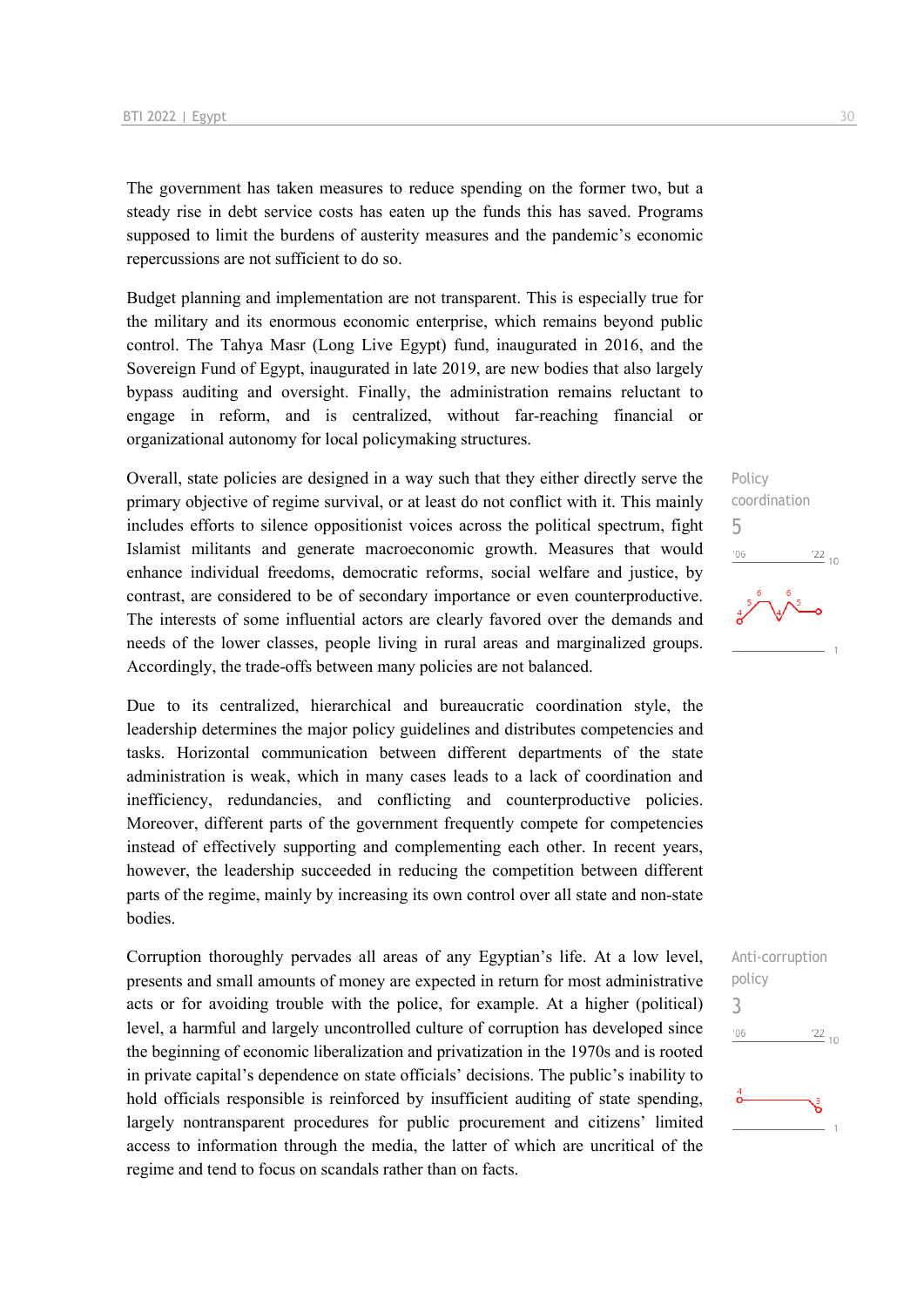The government has taken measures to reduce spending on the former two, but a steady rise in debt service costs has eaten up the funds this has saved. Programs supposed to limit the burdens of austerity measures and the pandemic's economic repercussions are not sufficient to do so.

Budget planning and implementation are not transparent. This is especially true for the military and its enormous economic enterprise, which remains beyond public control. The Tahya Masr (Long Live Egypt) fund, inaugurated in 2016, and the Sovereign Fund of Egypt, inaugurated in late 2019, are new bodies that also largely bypass auditing and oversight. Finally, the administration remains reluctant to engage in reform, and is centralized, without far-reaching financial or organizational autonomy for local policymaking structures.

Overall, state policies are designed in a way such that they either directly serve the primary objective of regime survival, or at least do not conflict with it. This mainly includes efforts to silence oppositionist voices across the political spectrum, fight Islamist militants and generate macroeconomic growth. Measures that would enhance individual freedoms, democratic reforms, social welfare and justice, by contrast, are considered to be of secondary importance or even counterproductive. The interests of some influential actors are clearly favored over the demands and needs of the lower classes, people living in rural areas and marginalized groups. Accordingly, the trade-offs between many policies are not balanced.

Due to its centralized, hierarchical and bureaucratic coordination style, the leadership determines the major policy guidelines and distributes competencies and tasks. Horizontal communication between different departments of the state administration is weak, which in many cases leads to a lack of coordination and inefficiency, redundancies, and conflicting and counterproductive policies. Moreover, different parts of the government frequently compete for competencies instead of effectively supporting and complementing each other. In recent years, however, the leadership succeeded in reducing the competition between different parts of the regime, mainly by increasing its own control over all state and non-state bodies.

Corruption thoroughly pervades all areas of any Egyptian's life. At a low level, presents and small amounts of money are expected in return for most administrative acts or for avoiding trouble with the police, for example. At a higher (political) level, a harmful and largely uncontrolled culture of corruption has developed since the beginning of economic liberalization and privatization in the 1970s and is rooted in private capital's dependence on state officials' decisions. The public's inability to hold officials responsible is reinforced by insufficient auditing of state spending, largely nontransparent procedures for public procurement and citizens' limited access to information through the media, the latter of which are uncritical of the regime and tend to focus on scandals rather than on facts.







3

 $'06$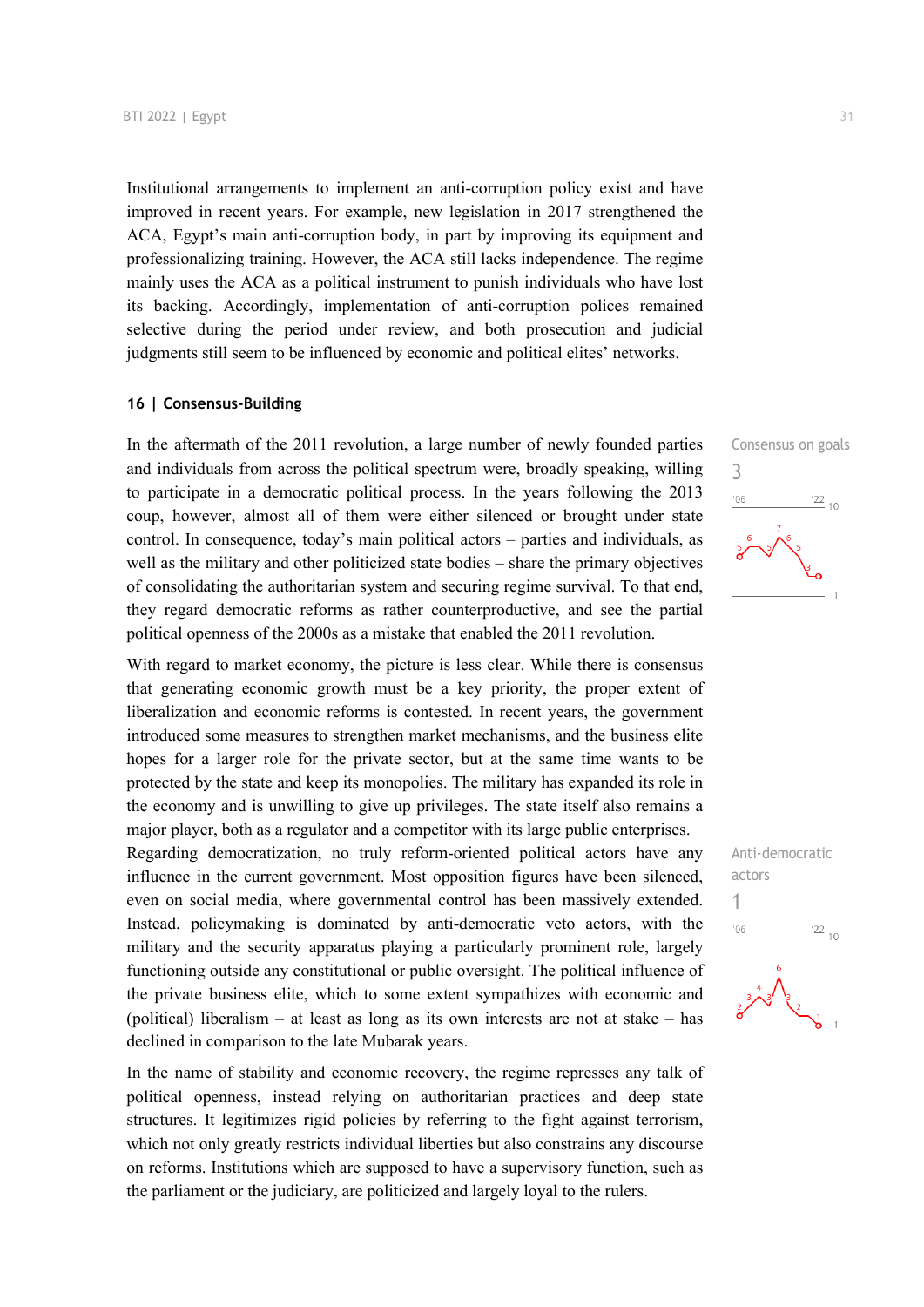Institutional arrangements to implement an anti-corruption policy exist and have improved in recent years. For example, new legislation in 2017 strengthened the ACA, Egypt's main anti-corruption body, in part by improving its equipment and professionalizing training. However, the ACA still lacks independence. The regime mainly uses the ACA as a political instrument to punish individuals who have lost its backing. Accordingly, implementation of anti-corruption polices remained selective during the period under review, and both prosecution and judicial judgments still seem to be influenced by economic and political elites' networks.

#### **16 | Consensus-Building**

In the aftermath of the 2011 revolution, a large number of newly founded parties and individuals from across the political spectrum were, broadly speaking, willing to participate in a democratic political process. In the years following the 2013 coup, however, almost all of them were either silenced or brought under state control. In consequence, today's main political actors – parties and individuals, as well as the military and other politicized state bodies – share the primary objectives of consolidating the authoritarian system and securing regime survival. To that end, they regard democratic reforms as rather counterproductive, and see the partial political openness of the 2000s as a mistake that enabled the 2011 revolution.

With regard to market economy, the picture is less clear. While there is consensus that generating economic growth must be a key priority, the proper extent of liberalization and economic reforms is contested. In recent years, the government introduced some measures to strengthen market mechanisms, and the business elite hopes for a larger role for the private sector, but at the same time wants to be protected by the state and keep its monopolies. The military has expanded its role in the economy and is unwilling to give up privileges. The state itself also remains a major player, both as a regulator and a competitor with its large public enterprises.

Regarding democratization, no truly reform-oriented political actors have any influence in the current government. Most opposition figures have been silenced, even on social media, where governmental control has been massively extended. Instead, policymaking is dominated by anti-democratic veto actors, with the military and the security apparatus playing a particularly prominent role, largely functioning outside any constitutional or public oversight. The political influence of the private business elite, which to some extent sympathizes with economic and (political) liberalism – at least as long as its own interests are not at stake – has declined in comparison to the late Mubarak years.

In the name of stability and economic recovery, the regime represses any talk of political openness, instead relying on authoritarian practices and deep state structures. It legitimizes rigid policies by referring to the fight against terrorism, which not only greatly restricts individual liberties but also constrains any discourse on reforms. Institutions which are supposed to have a supervisory function, such as the parliament or the judiciary, are politicized and largely loyal to the rulers.



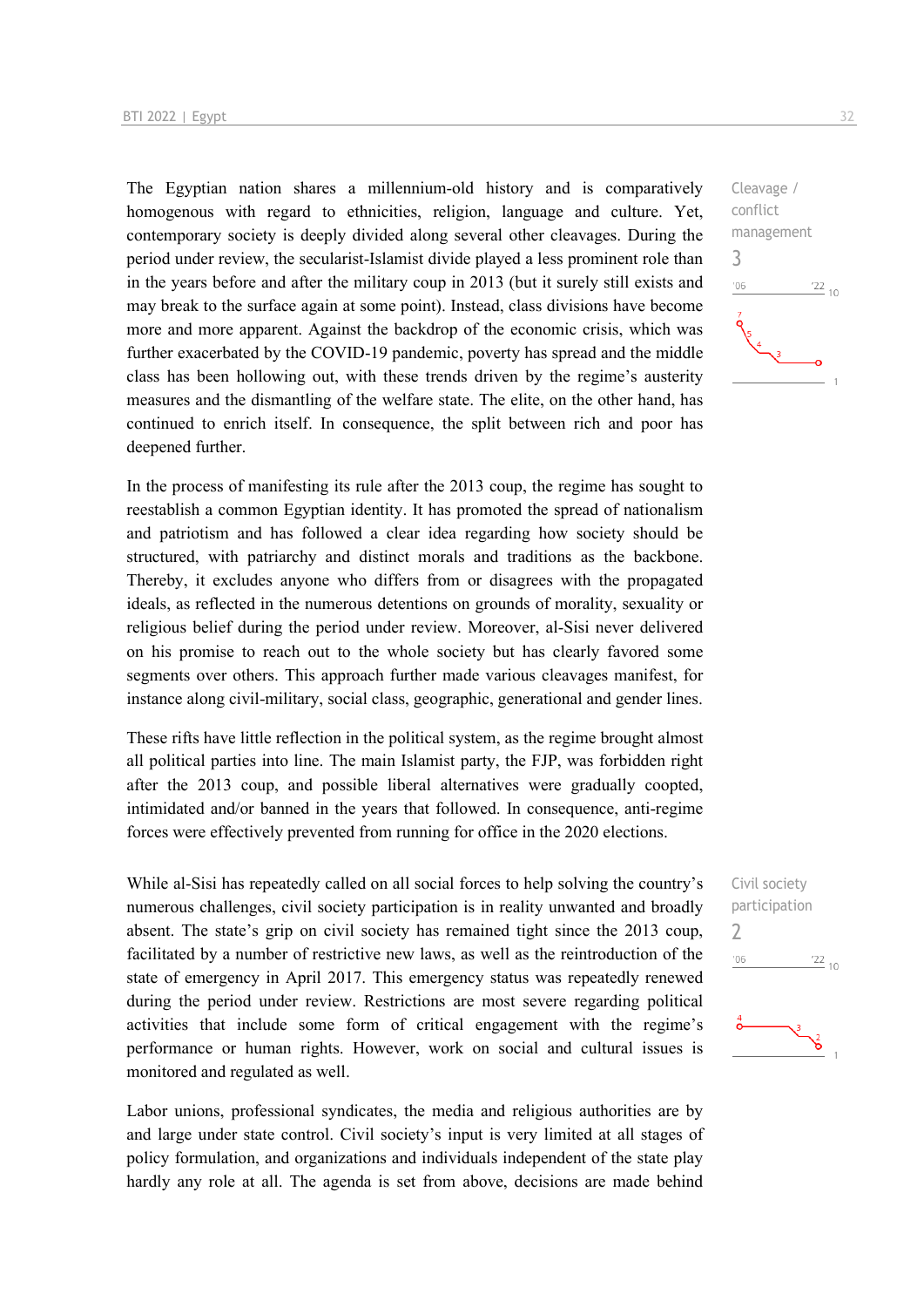The Egyptian nation shares a millennium-old history and is comparatively homogenous with regard to ethnicities, religion, language and culture. Yet, contemporary society is deeply divided along several other cleavages. During the period under review, the secularist-Islamist divide played a less prominent role than in the years before and after the military coup in 2013 (but it surely still exists and may break to the surface again at some point). Instead, class divisions have become more and more apparent. Against the backdrop of the economic crisis, which was further exacerbated by the COVID-19 pandemic, poverty has spread and the middle class has been hollowing out, with these trends driven by the regime's austerity measures and the dismantling of the welfare state. The elite, on the other hand, has continued to enrich itself. In consequence, the split between rich and poor has deepened further.

In the process of manifesting its rule after the 2013 coup, the regime has sought to reestablish a common Egyptian identity. It has promoted the spread of nationalism and patriotism and has followed a clear idea regarding how society should be structured, with patriarchy and distinct morals and traditions as the backbone. Thereby, it excludes anyone who differs from or disagrees with the propagated ideals, as reflected in the numerous detentions on grounds of morality, sexuality or religious belief during the period under review. Moreover, al-Sisi never delivered on his promise to reach out to the whole society but has clearly favored some segments over others. This approach further made various cleavages manifest, for instance along civil-military, social class, geographic, generational and gender lines.

These rifts have little reflection in the political system, as the regime brought almost all political parties into line. The main Islamist party, the FJP, was forbidden right after the 2013 coup, and possible liberal alternatives were gradually coopted, intimidated and/or banned in the years that followed. In consequence, anti-regime forces were effectively prevented from running for office in the 2020 elections.

While al-Sisi has repeatedly called on all social forces to help solving the country's numerous challenges, civil society participation is in reality unwanted and broadly absent. The state's grip on civil society has remained tight since the 2013 coup, facilitated by a number of restrictive new laws, as well as the reintroduction of the state of emergency in April 2017. This emergency status was repeatedly renewed during the period under review. Restrictions are most severe regarding political activities that include some form of critical engagement with the regime's performance or human rights. However, work on social and cultural issues is monitored and regulated as well.

Labor unions, professional syndicates, the media and religious authorities are by and large under state control. Civil society's input is very limited at all stages of policy formulation, and organizations and individuals independent of the state play hardly any role at all. The agenda is set from above, decisions are made behind

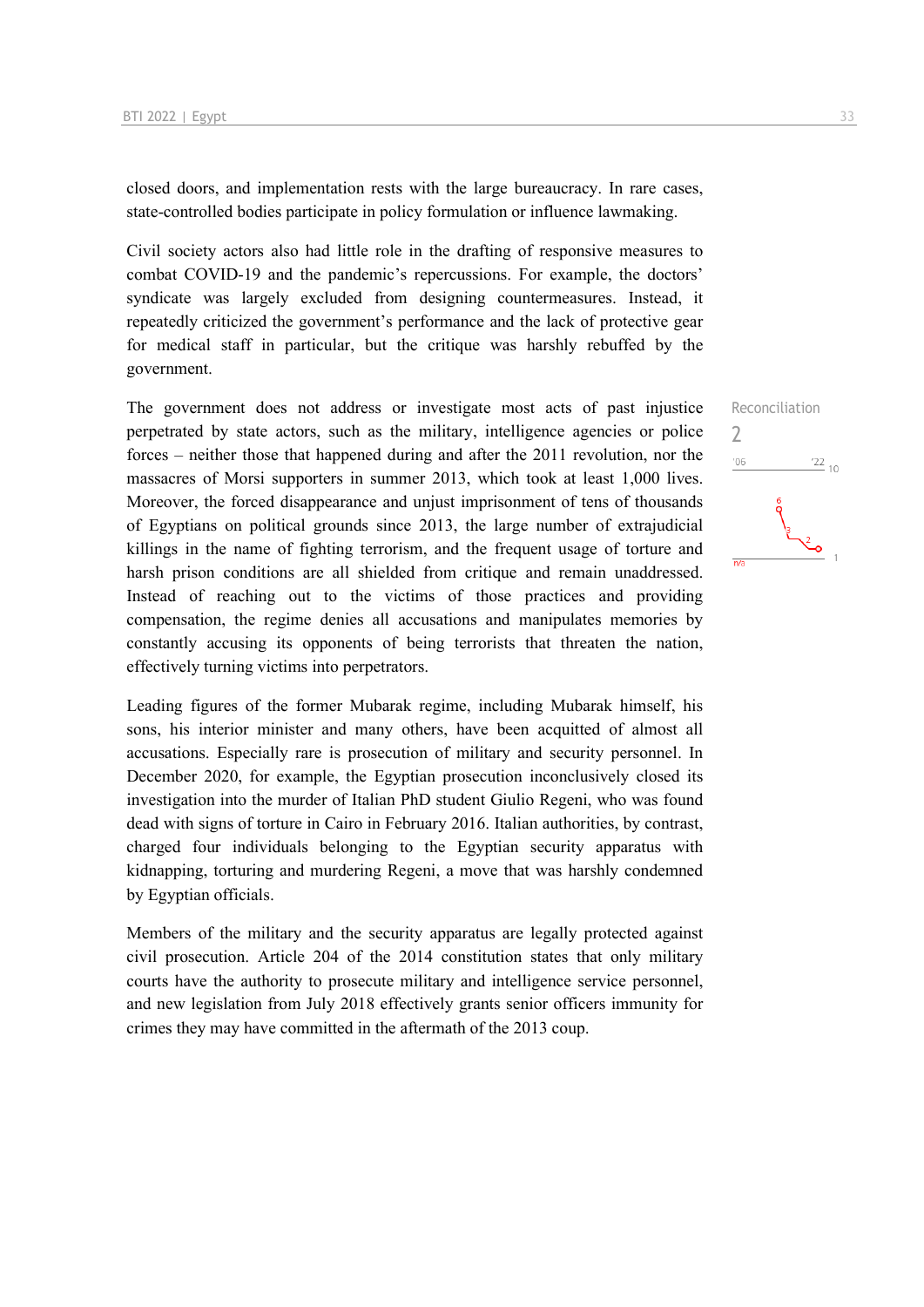closed doors, and implementation rests with the large bureaucracy. In rare cases, state-controlled bodies participate in policy formulation or influence lawmaking.

Civil society actors also had little role in the drafting of responsive measures to combat COVID-19 and the pandemic's repercussions. For example, the doctors' syndicate was largely excluded from designing countermeasures. Instead, it repeatedly criticized the government's performance and the lack of protective gear for medical staff in particular, but the critique was harshly rebuffed by the government.

The government does not address or investigate most acts of past injustice perpetrated by state actors, such as the military, intelligence agencies or police forces – neither those that happened during and after the 2011 revolution, nor the massacres of Morsi supporters in summer 2013, which took at least 1,000 lives. Moreover, the forced disappearance and unjust imprisonment of tens of thousands of Egyptians on political grounds since 2013, the large number of extrajudicial killings in the name of fighting terrorism, and the frequent usage of torture and harsh prison conditions are all shielded from critique and remain unaddressed. Instead of reaching out to the victims of those practices and providing compensation, the regime denies all accusations and manipulates memories by constantly accusing its opponents of being terrorists that threaten the nation, effectively turning victims into perpetrators.

Leading figures of the former Mubarak regime, including Mubarak himself, his sons, his interior minister and many others, have been acquitted of almost all accusations. Especially rare is prosecution of military and security personnel. In December 2020, for example, the Egyptian prosecution inconclusively closed its investigation into the murder of Italian PhD student Giulio Regeni, who was found dead with signs of torture in Cairo in February 2016. Italian authorities, by contrast, charged four individuals belonging to the Egyptian security apparatus with kidnapping, torturing and murdering Regeni, a move that was harshly condemned by Egyptian officials.

Members of the military and the security apparatus are legally protected against civil prosecution. Article 204 of the 2014 constitution states that only military courts have the authority to prosecute military and intelligence service personnel, and new legislation from July 2018 effectively grants senior officers immunity for crimes they may have committed in the aftermath of the 2013 coup.

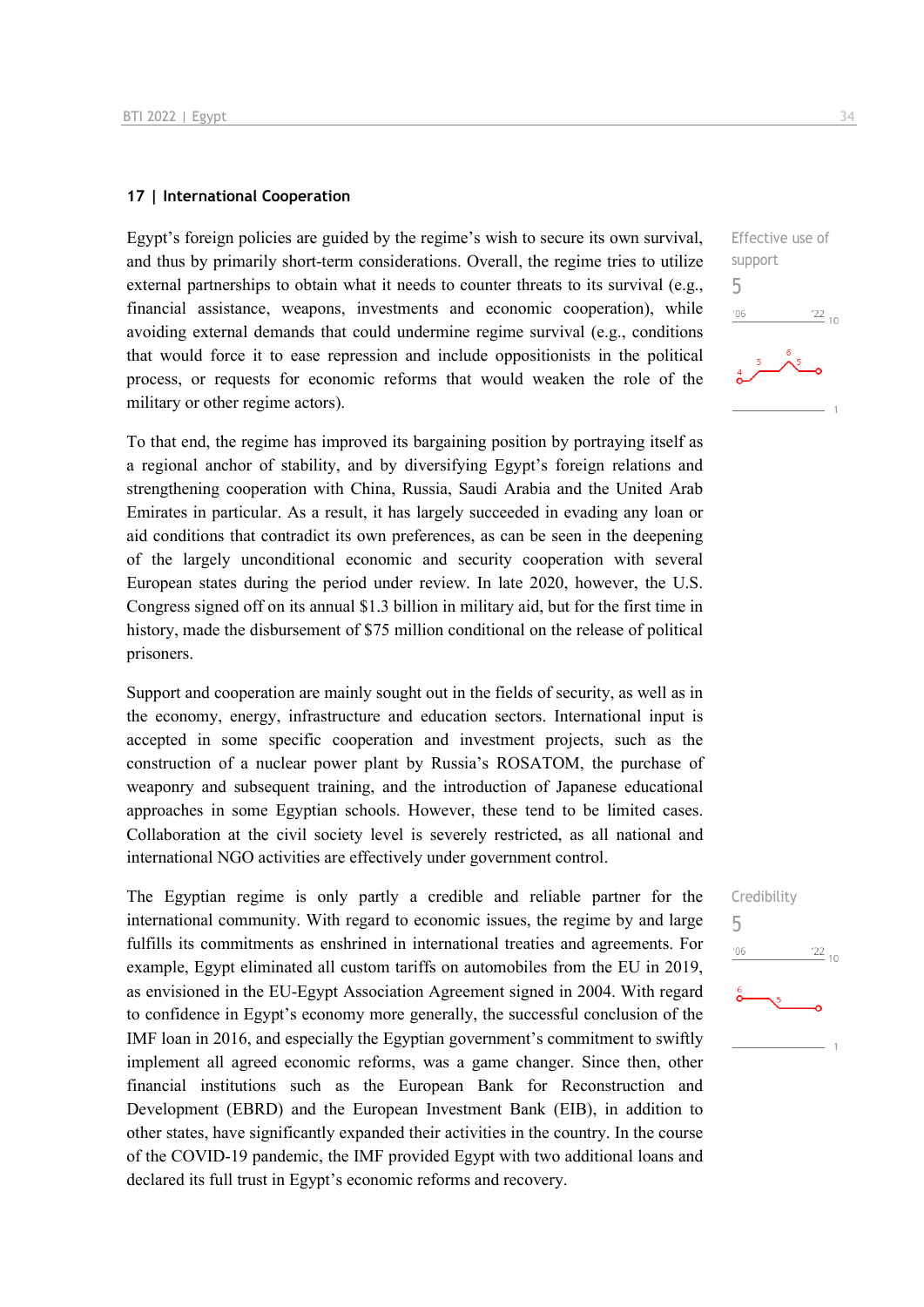#### **17 | International Cooperation**

Egypt's foreign policies are guided by the regime's wish to secure its own survival, and thus by primarily short-term considerations. Overall, the regime tries to utilize external partnerships to obtain what it needs to counter threats to its survival (e.g., financial assistance, weapons, investments and economic cooperation), while avoiding external demands that could undermine regime survival (e.g., conditions that would force it to ease repression and include oppositionists in the political process, or requests for economic reforms that would weaken the role of the military or other regime actors).

To that end, the regime has improved its bargaining position by portraying itself as a regional anchor of stability, and by diversifying Egypt's foreign relations and strengthening cooperation with China, Russia, Saudi Arabia and the United Arab Emirates in particular. As a result, it has largely succeeded in evading any loan or aid conditions that contradict its own preferences, as can be seen in the deepening of the largely unconditional economic and security cooperation with several European states during the period under review. In late 2020, however, the U.S. Congress signed off on its annual \$1.3 billion in military aid, but for the first time in history, made the disbursement of \$75 million conditional on the release of political prisoners.

Support and cooperation are mainly sought out in the fields of security, as well as in the economy, energy, infrastructure and education sectors. International input is accepted in some specific cooperation and investment projects, such as the construction of a nuclear power plant by Russia's ROSATOM, the purchase of weaponry and subsequent training, and the introduction of Japanese educational approaches in some Egyptian schools. However, these tend to be limited cases. Collaboration at the civil society level is severely restricted, as all national and international NGO activities are effectively under government control.

The Egyptian regime is only partly a credible and reliable partner for the international community. With regard to economic issues, the regime by and large fulfills its commitments as enshrined in international treaties and agreements. For example, Egypt eliminated all custom tariffs on automobiles from the EU in 2019, as envisioned in the EU-Egypt Association Agreement signed in 2004. With regard to confidence in Egypt's economy more generally, the successful conclusion of the IMF loan in 2016, and especially the Egyptian government's commitment to swiftly implement all agreed economic reforms, was a game changer. Since then, other financial institutions such as the European Bank for Reconstruction and Development (EBRD) and the European Investment Bank (EIB), in addition to other states, have significantly expanded their activities in the country. In the course of the COVID-19 pandemic, the IMF provided Egypt with two additional loans and declared its full trust in Egypt's economic reforms and recovery.

Effective use of support 5  $^{\prime}06$  $\frac{22}{10}$ 

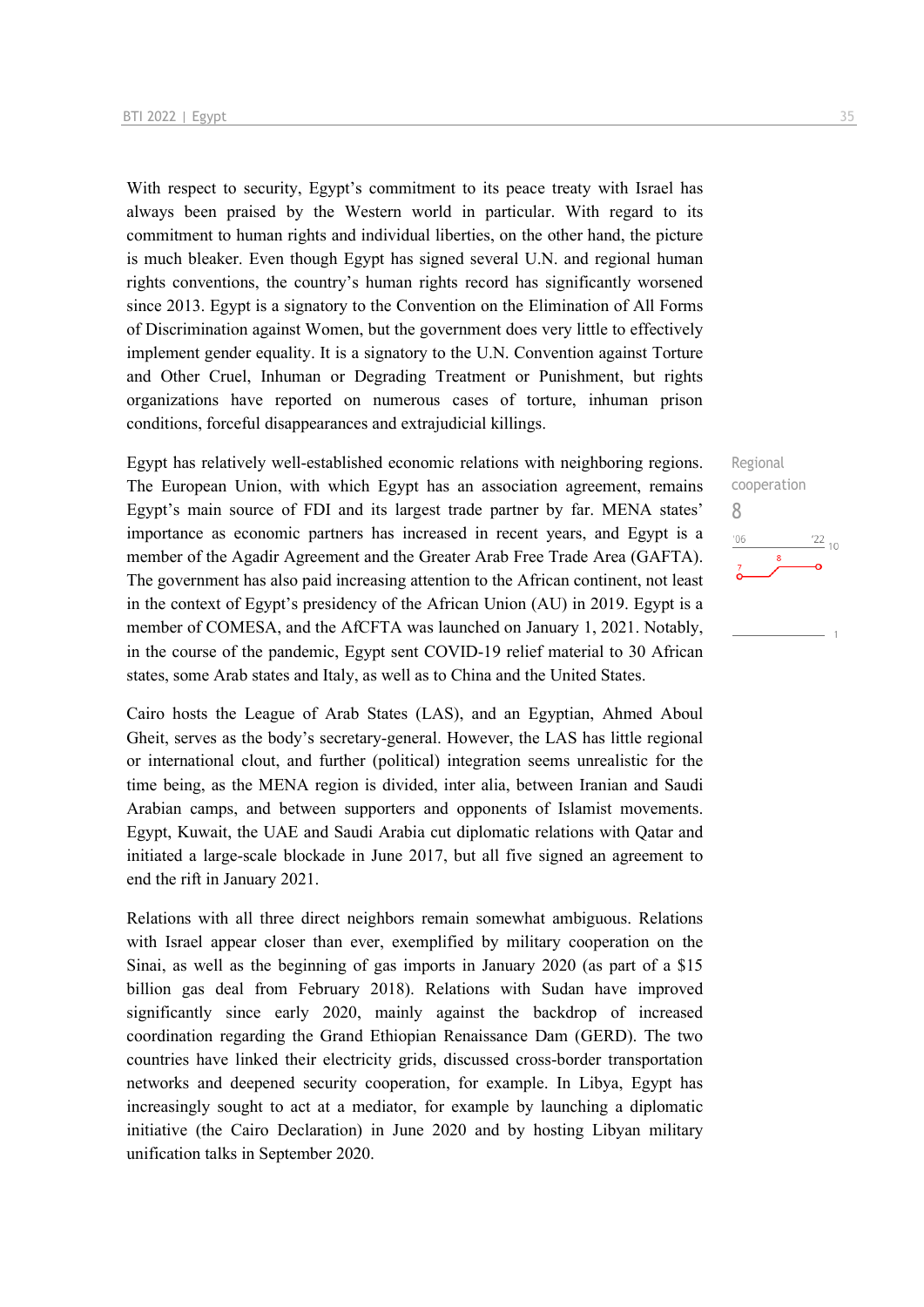With respect to security, Egypt's commitment to its peace treaty with Israel has always been praised by the Western world in particular. With regard to its commitment to human rights and individual liberties, on the other hand, the picture is much bleaker. Even though Egypt has signed several U.N. and regional human rights conventions, the country's human rights record has significantly worsened since 2013. Egypt is a signatory to the Convention on the Elimination of All Forms of Discrimination against Women, but the government does very little to effectively implement gender equality. It is a signatory to the U.N. Convention against Torture and Other Cruel, Inhuman or Degrading Treatment or Punishment, but rights organizations have reported on numerous cases of torture, inhuman prison conditions, forceful disappearances and extrajudicial killings.

Egypt has relatively well-established economic relations with neighboring regions. The European Union, with which Egypt has an association agreement, remains Egypt's main source of FDI and its largest trade partner by far. MENA states' importance as economic partners has increased in recent years, and Egypt is a member of the Agadir Agreement and the Greater Arab Free Trade Area (GAFTA). The government has also paid increasing attention to the African continent, not least in the context of Egypt's presidency of the African Union (AU) in 2019. Egypt is a member of COMESA, and the AfCFTA was launched on January 1, 2021. Notably, in the course of the pandemic, Egypt sent COVID-19 relief material to 30 African states, some Arab states and Italy, as well as to China and the United States.

Cairo hosts the League of Arab States (LAS), and an Egyptian, Ahmed Aboul Gheit, serves as the body's secretary-general. However, the LAS has little regional or international clout, and further (political) integration seems unrealistic for the time being, as the MENA region is divided, inter alia, between Iranian and Saudi Arabian camps, and between supporters and opponents of Islamist movements. Egypt, Kuwait, the UAE and Saudi Arabia cut diplomatic relations with Qatar and initiated a large-scale blockade in June 2017, but all five signed an agreement to end the rift in January 2021.

Relations with all three direct neighbors remain somewhat ambiguous. Relations with Israel appear closer than ever, exemplified by military cooperation on the Sinai, as well as the beginning of gas imports in January 2020 (as part of a \$15 billion gas deal from February 2018). Relations with Sudan have improved significantly since early 2020, mainly against the backdrop of increased coordination regarding the Grand Ethiopian Renaissance Dam (GERD). The two countries have linked their electricity grids, discussed cross-border transportation networks and deepened security cooperation, for example. In Libya, Egypt has increasingly sought to act at a mediator, for example by launching a diplomatic initiative (the Cairo Declaration) in June 2020 and by hosting Libyan military unification talks in September 2020.

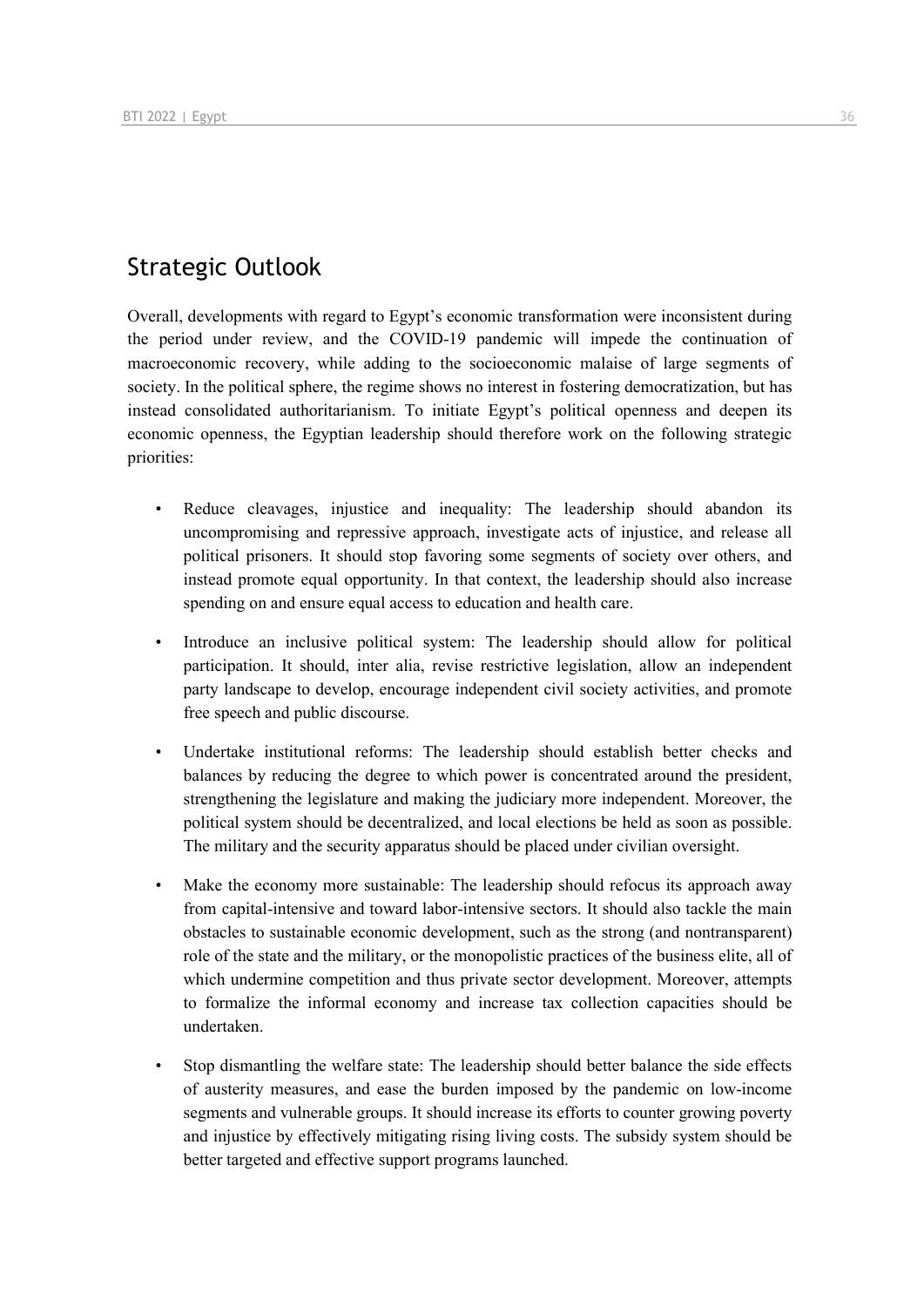## Strategic Outlook

Overall, developments with regard to Egypt's economic transformation were inconsistent during the period under review, and the COVID-19 pandemic will impede the continuation of macroeconomic recovery, while adding to the socioeconomic malaise of large segments of society. In the political sphere, the regime shows no interest in fostering democratization, but has instead consolidated authoritarianism. To initiate Egypt's political openness and deepen its economic openness, the Egyptian leadership should therefore work on the following strategic priorities:

- Reduce cleavages, injustice and inequality: The leadership should abandon its uncompromising and repressive approach, investigate acts of injustice, and release all political prisoners. It should stop favoring some segments of society over others, and instead promote equal opportunity. In that context, the leadership should also increase spending on and ensure equal access to education and health care.
- Introduce an inclusive political system: The leadership should allow for political participation. It should, inter alia, revise restrictive legislation, allow an independent party landscape to develop, encourage independent civil society activities, and promote free speech and public discourse.
- Undertake institutional reforms: The leadership should establish better checks and balances by reducing the degree to which power is concentrated around the president, strengthening the legislature and making the judiciary more independent. Moreover, the political system should be decentralized, and local elections be held as soon as possible. The military and the security apparatus should be placed under civilian oversight.
- Make the economy more sustainable: The leadership should refocus its approach away from capital-intensive and toward labor-intensive sectors. It should also tackle the main obstacles to sustainable economic development, such as the strong (and nontransparent) role of the state and the military, or the monopolistic practices of the business elite, all of which undermine competition and thus private sector development. Moreover, attempts to formalize the informal economy and increase tax collection capacities should be undertaken.
- Stop dismantling the welfare state: The leadership should better balance the side effects of austerity measures, and ease the burden imposed by the pandemic on low-income segments and vulnerable groups. It should increase its efforts to counter growing poverty and injustice by effectively mitigating rising living costs. The subsidy system should be better targeted and effective support programs launched.